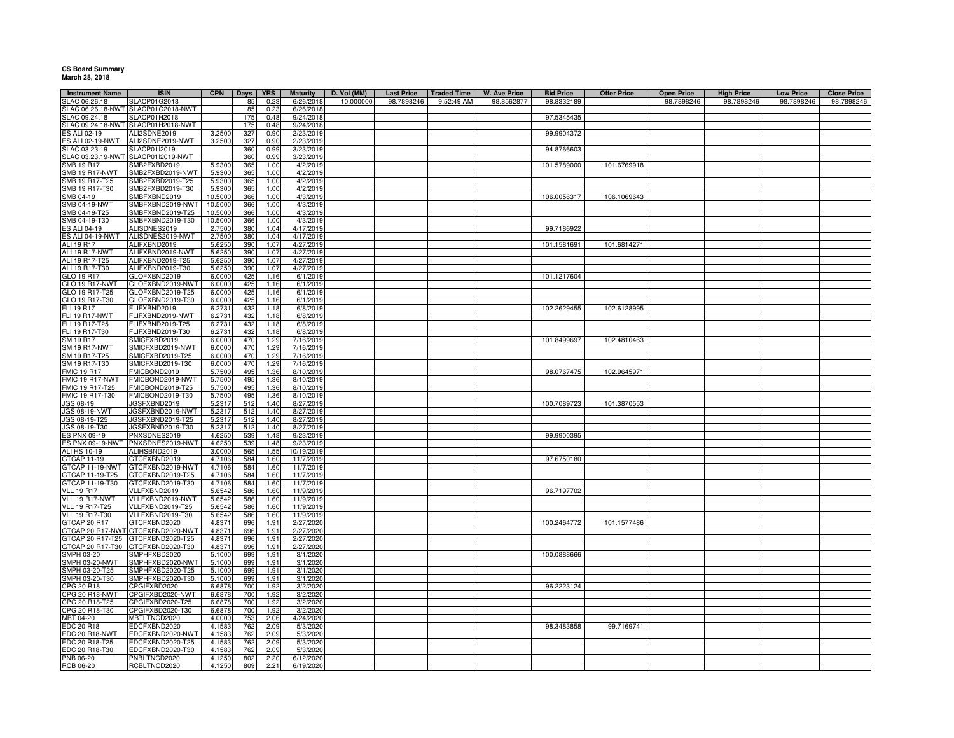## **CS Board Summary March 28, 2018**

| <b>Instrument Name</b>               | <b>ISIN</b>                          | CPN              | Days       | <b>YRS</b>   | <b>Maturity</b>        | D. Vol (MM) | <b>Last Price</b> | <b>Traded Time</b> | W. Ave Price | <b>Bid Price</b> | <b>Offer Price</b> | <b>Open Price</b> | <b>High Price</b> | <b>Low Price</b> | <b>Close Price</b> |
|--------------------------------------|--------------------------------------|------------------|------------|--------------|------------------------|-------------|-------------------|--------------------|--------------|------------------|--------------------|-------------------|-------------------|------------------|--------------------|
| SLAC 06.26.18                        | <b>SLACP01G2018</b>                  |                  | 85         | 0.23         | 6/26/2018              | 10.000000   | 98.7898246        | 9:52:49 AM         | 98.8562877   | 98.8332189       |                    | 98.7898246        | 98.7898246        | 98.7898246       | 98.7898246         |
|                                      | SLAC 06.26.18-NWT SLACP01G2018-NWT   |                  | 85         | 0.23         | 6/26/2018              |             |                   |                    |              |                  |                    |                   |                   |                  |                    |
| SLAC 09.24.18                        | SLACP01H2018                         |                  | 175        | 0.48         | 9/24/2018              |             |                   |                    |              | 97.5345435       |                    |                   |                   |                  |                    |
|                                      | SLAC 09.24.18-NWT SLACP01H2018-NWT   |                  | 175        | 0.48         | 9/24/2018              |             |                   |                    |              |                  |                    |                   |                   |                  |                    |
| ES ALI 02-19                         | ALI2SDNE2019                         | 3.250            | 327        | 0.90         | 2/23/2019              |             |                   |                    |              | 99.9904372       |                    |                   |                   |                  |                    |
| ES ALI 02-19-NWT                     | ALI2SDNE2019-NWT                     | 3.2500           | 327        | 0.90         | 2/23/2019              |             |                   |                    |              |                  |                    |                   |                   |                  |                    |
| SLAC 03.23.19                        | SLACP01I2019                         |                  | 360        | 0.99         | 3/23/2019              |             |                   |                    |              | 94.8766603       |                    |                   |                   |                  |                    |
|                                      | SLAC 03.23.19-NWT SLACP01I2019-NWT   |                  | 360        | 0.99         | 3/23/2019              |             |                   |                    |              |                  |                    |                   |                   |                  |                    |
| SMB 19 R17<br><b>SMB 19 R17-NWT</b>  | SMB2FXBD2019<br>SMB2FXBD2019-NWT     | 5.930<br>5.9300  | 365<br>365 | 1.00<br>1.00 | 4/2/2019<br>4/2/2019   |             |                   |                    |              | 101.5789000      | 101.6769918        |                   |                   |                  |                    |
| SMB 19 R17-T25                       | SMB2FXBD2019-T25                     | 5.930            | 365        | 1.00         | 4/2/2019               |             |                   |                    |              |                  |                    |                   |                   |                  |                    |
| SMB 19 R17-T30                       | SMB2FXBD2019-T30                     | 5.930            | 365        | 1.00         | 4/2/2019               |             |                   |                    |              |                  |                    |                   |                   |                  |                    |
| SMB 04-19                            | SMBFXBND2019                         | 10.5000          | 366        | 1.00         | 4/3/2019               |             |                   |                    |              | 106.0056317      | 106.1069643        |                   |                   |                  |                    |
| <b>SMB 04-19-NWT</b>                 | SMBFXBND2019-NWT                     | 10.5000          | 366        | 1.00         | 4/3/2019               |             |                   |                    |              |                  |                    |                   |                   |                  |                    |
| SMB 04-19-T25                        | SMBFXBND2019-T25                     | 10.5000          | 366        | 1.00         | 4/3/2019               |             |                   |                    |              |                  |                    |                   |                   |                  |                    |
| SMB 04-19-T30                        | SMBFXBND2019-T30                     | 10.5000          | 366        | 1.00         | 4/3/2019               |             |                   |                    |              |                  |                    |                   |                   |                  |                    |
| ES ALI 04-19                         | ALISDNES2019                         | 2.7500           | 380        | 1.04         | 4/17/2019              |             |                   |                    |              | 99.7186922       |                    |                   |                   |                  |                    |
| <b>ES ALI 04-19-NWT</b>              | ALISDNES2019-NWT                     | 2.7500           | 380        | 1.04         | 4/17/2019              |             |                   |                    |              |                  |                    |                   |                   |                  |                    |
| ALI 19 R17                           | ALIFXBND2019                         | 5.6250           | 390        | 1.07         | 4/27/2019              |             |                   |                    |              | 101.1581691      | 101.6814271        |                   |                   |                  |                    |
| ALI 19 R17-NWT                       | ALIFXBND2019-NWT                     | 5.6250           | 390        | 1.07         | 4/27/2019              |             |                   |                    |              |                  |                    |                   |                   |                  |                    |
| ALI 19 R17-T25                       | ALIFXBND2019-T25                     | 5.6250           | 390        | 1.07         | 4/27/2019              |             |                   |                    |              |                  |                    |                   |                   |                  |                    |
| ALI 19 R17-T30                       | ALIFXBND2019-T30                     | 5.6250           | 390        | 1.07         | 4/27/2019              |             |                   |                    |              |                  |                    |                   |                   |                  |                    |
| GLO 19 R17                           | GLOFXBND2019                         | 6.0000           | 425        | 1.16         | 6/1/2019               |             |                   |                    |              | 101.1217604      |                    |                   |                   |                  |                    |
| GLO 19 R17-NWT                       | GLOFXBND2019-NWT                     | 6.0000           | 425        | 1.16         | 6/1/2019               |             |                   |                    |              |                  |                    |                   |                   |                  |                    |
| GLO 19 R17-T25                       | GLOFXBND2019-T25                     | 6.0000           | 425        | 1.16         | 6/1/2019               |             |                   |                    |              |                  |                    |                   |                   |                  |                    |
| GLO 19 R17-T30                       | GLOFXBND2019-T30                     | 6.0000           | 425        | 1.16         | 6/1/2019               |             |                   |                    |              |                  |                    |                   |                   |                  |                    |
| FLI 19 R17                           | FLIFXBND2019                         | 6.2731           | 432        | 1.18         | 6/8/2019               |             |                   |                    |              | 102.2629455      | 102.6128995        |                   |                   |                  |                    |
| FLI 19 R17-NWT                       | FLIFXBND2019-NWT                     | 6.2731           | 432        | 1.18         | 6/8/2019               |             |                   |                    |              |                  |                    |                   |                   |                  |                    |
| FLI 19 R17-T25                       | FLIFXBND2019-T25                     | 6.2731           | 432        | 1.18         | 6/8/2019               |             |                   |                    |              |                  |                    |                   |                   |                  |                    |
| FLI 19 R17-T30<br>SM 19 R17          | FLIFXBND2019-T30<br>SMICFXBD2019     | 6.2731           | 432<br>470 | 1.18<br>1.29 | 6/8/2019<br>7/16/2019  |             |                   |                    |              | 101.8499697      | 102.4810463        |                   |                   |                  |                    |
| <b>SM 19 R17-NWT</b>                 | SMICFXBD2019-NW1                     | 6.0000<br>6.0000 | 470        | 1.29         | 7/16/2019              |             |                   |                    |              |                  |                    |                   |                   |                  |                    |
| SM 19 R17-T25                        | SMICFXBD2019-T25                     | 6.000            | 470        | 1.29         | 7/16/2019              |             |                   |                    |              |                  |                    |                   |                   |                  |                    |
| SM 19 R17-T30                        | SMICFXBD2019-T30                     | 6.0000           | 470        | 1.29         | 7/16/2019              |             |                   |                    |              |                  |                    |                   |                   |                  |                    |
| <b>FMIC 19 R17</b>                   | FMICBOND2019                         | 5.7500           | 495        | 1.36         | 8/10/2019              |             |                   |                    |              | 98.0767475       | 102.9645971        |                   |                   |                  |                    |
| FMIC 19 R17-NWT                      | FMICBOND2019-NWT                     | 5.7500           | 495        | 1.36         | 8/10/2019              |             |                   |                    |              |                  |                    |                   |                   |                  |                    |
| FMIC 19 R17-T25                      | FMICBOND2019-T25                     | 5.7500           | 495        | 1.36         | 8/10/2019              |             |                   |                    |              |                  |                    |                   |                   |                  |                    |
| FMIC 19 R17-T30                      | FMICBOND2019-T30                     | 5.7500           | 495        | 1.36         | 8/10/2019              |             |                   |                    |              |                  |                    |                   |                   |                  |                    |
| JGS 08-19                            | JGSFXBND2019                         | 5.2317           | 512        | 1.40         | 8/27/2019              |             |                   |                    |              | 100.7089723      | 101.3870553        |                   |                   |                  |                    |
| <b>JGS 08-19-NWT</b>                 | JGSFXBND2019-NWT                     | 5.2317           | 512        | 1.40         | 8/27/2019              |             |                   |                    |              |                  |                    |                   |                   |                  |                    |
| JGS 08-19-T25                        | JGSFXBND2019-T25                     | 5.2317           | 512        | 1.40         | 8/27/2019              |             |                   |                    |              |                  |                    |                   |                   |                  |                    |
| JGS 08-19-T30                        | JGSFXBND2019-T30                     | 5.2317           | 512        | 1.40         | 8/27/2019              |             |                   |                    |              |                  |                    |                   |                   |                  |                    |
| ES PNX 09-19                         | PNXSDNES2019                         | 4.6250           | 539        | 1.48         | 9/23/2019              |             |                   |                    |              | 99.9900395       |                    |                   |                   |                  |                    |
| ES PNX 09-19-NWT                     | PNXSDNES2019-NWT                     | 4.6250           | 539        | 1.48         | 9/23/2019              |             |                   |                    |              |                  |                    |                   |                   |                  |                    |
| ALI HS 10-19                         | ALIHSBND2019                         | 3.0000           | 565        | 1.55         | 10/19/2019             |             |                   |                    |              |                  |                    |                   |                   |                  |                    |
| GTCAP 11-19                          | GTCFXBND2019                         | 4.7106           | 584        | 1.60         | 11/7/2019              |             |                   |                    |              | 97.6750180       |                    |                   |                   |                  |                    |
| GTCAP 11-19-NWT                      | GTCFXBND2019-NWT                     | 4.7106           | 584        | 1.60         | 11/7/2019              |             |                   |                    |              |                  |                    |                   |                   |                  |                    |
| GTCAP 11-19-T25                      | GTCFXBND2019-T25                     | 4.7106           | 584        | 1.60         | 11/7/2019              |             |                   |                    |              |                  |                    |                   |                   |                  |                    |
| GTCAP 11-19-T30<br><b>VLL 19 R17</b> | GTCFXBND2019-T30<br>VLLFXBND2019     | 4.7106<br>5.6542 | 584<br>586 | 1.60<br>1.60 | 11/7/2019<br>11/9/2019 |             |                   |                    |              | 96.7197702       |                    |                   |                   |                  |                    |
| VLL 19 R17-NWT                       | VLLFXBND2019-NWT                     | 5.6542           | 586        | 1.60         | 11/9/2019              |             |                   |                    |              |                  |                    |                   |                   |                  |                    |
| VLL 19 R17-T25                       | VLLFXBND2019-T25                     | 5.6542           | 586        | 1.60         | 11/9/2019              |             |                   |                    |              |                  |                    |                   |                   |                  |                    |
| <b>VLL 19 R17-T30</b>                | VLLFXBND2019-T30                     | 5.6542           | 586        | 1.60         | 11/9/2019              |             |                   |                    |              |                  |                    |                   |                   |                  |                    |
| GTCAP 20 R17                         | GTCFXBND2020                         | 4.8371           | 696        | 1.91         | 2/27/2020              |             |                   |                    |              | 100.2464772      | 101.1577486        |                   |                   |                  |                    |
| GTCAP 20 R17-NWT                     | GTCFXBND2020-NWT                     | 4.8371           | 696        | 1.91         | 2/27/2020              |             |                   |                    |              |                  |                    |                   |                   |                  |                    |
| GTCAP 20 R17-T25                     | GTCFXBND2020-T25                     | 4.8371           | 696        | 1.91         | 2/27/2020              |             |                   |                    |              |                  |                    |                   |                   |                  |                    |
| GTCAP 20 R17-T30                     | GTCFXBND2020-T30                     | 4.837            | 696        | 1.91         | 2/27/2020              |             |                   |                    |              |                  |                    |                   |                   |                  |                    |
| SMPH 03-20                           | SMPHFXBD2020                         | 5.1000           | 699        | 1.91         | 3/1/2020               |             |                   |                    |              | 100.0888666      |                    |                   |                   |                  |                    |
| SMPH 03-20-NWT                       | SMPHFXBD2020-NWT                     | 5.1000           | 699        | 1.91         | 3/1/2020               |             |                   |                    |              |                  |                    |                   |                   |                  |                    |
| SMPH 03-20-T25                       | SMPHFXBD2020-T25                     | 5.1000           | 699        | 1.91         | 3/1/2020               |             |                   |                    |              |                  |                    |                   |                   |                  |                    |
| SMPH 03-20-T30                       | SMPHFXBD2020-T30                     | 5.1000           | 699        | 1.91         | 3/1/2020               |             |                   |                    |              |                  |                    |                   |                   |                  |                    |
| CPG 20 R18                           | CPGIFXBD2020                         | 6.6878           | 700        | 1.92         | 3/2/2020               |             |                   |                    |              | 96.2223124       |                    |                   |                   |                  |                    |
| CPG 20 R18-NWT                       | CPGIFXBD2020-NWT                     | 6.6878           | 700        | 1.92         | 3/2/2020               |             |                   |                    |              |                  |                    |                   |                   |                  |                    |
| CPG 20 R18-T25<br>CPG 20 R18-T30     | CPGIFXBD2020-T25<br>CPGIFXBD2020-T30 | 6.6878<br>6.6878 | 700<br>700 | 1.92<br>1.92 | 3/2/2020<br>3/2/2020   |             |                   |                    |              |                  |                    |                   |                   |                  |                    |
| MBT 04-20                            | MBTLTNCD2020                         | 4.0000           | 753        | 2.06         | 4/24/2020              |             |                   |                    |              |                  |                    |                   |                   |                  |                    |
| EDC 20 R18                           | EDCFXBND2020                         | 4.1583           | 762        | 2.09         | 5/3/2020               |             |                   |                    |              | 98.3483858       | 99.7169741         |                   |                   |                  |                    |
| EDC 20 R18-NWT                       | EDCFXBND2020-NWT                     | 4.1583           | 762        | 2.09         | 5/3/2020               |             |                   |                    |              |                  |                    |                   |                   |                  |                    |
| EDC 20 R18-T25                       | EDCFXBND2020-T25                     | 4.1583           | 762        | 2.09         | 5/3/2020               |             |                   |                    |              |                  |                    |                   |                   |                  |                    |
| EDC 20 R18-T30                       | EDCFXBND2020-T30                     | 4.1583           | 762        | 2.09         | 5/3/2020               |             |                   |                    |              |                  |                    |                   |                   |                  |                    |
| PNB 06-20                            | PNBLTNCD2020                         | 4.1250           | 802        | 2.20         | 6/12/2020              |             |                   |                    |              |                  |                    |                   |                   |                  |                    |
| <b>RCB 06-20</b>                     | RCBLTNCD2020                         | 4.1250           | 809        | 2.21         | 6/19/2020              |             |                   |                    |              |                  |                    |                   |                   |                  |                    |
|                                      |                                      |                  |            |              |                        |             |                   |                    |              |                  |                    |                   |                   |                  |                    |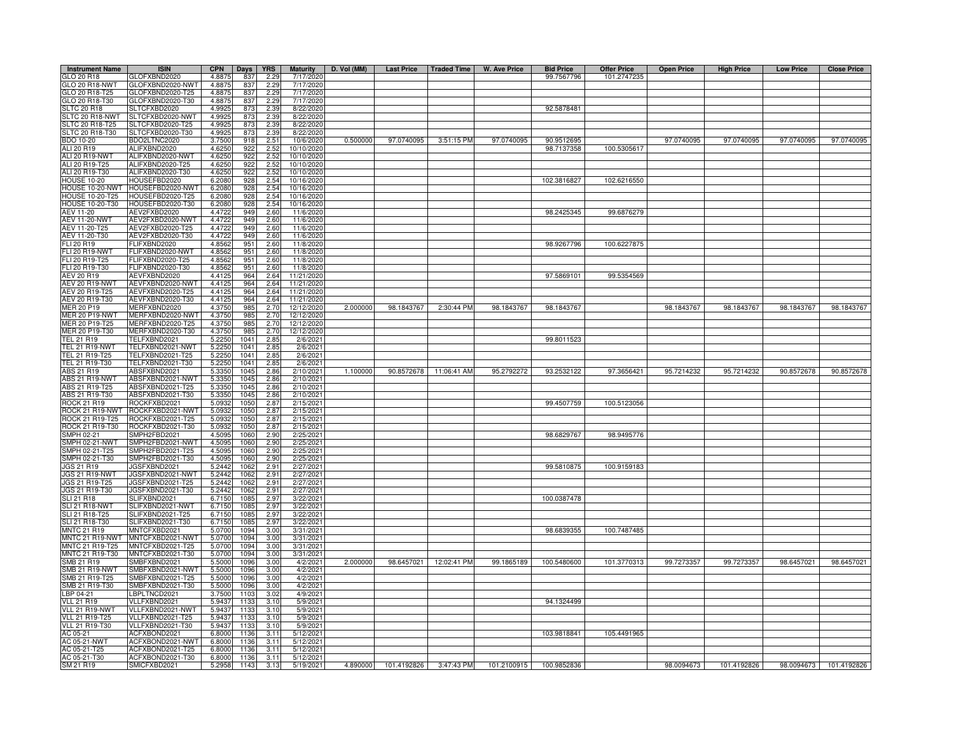| <b>Instrument Name</b>             | <b>ISIN</b>                          | <b>CPN</b>       | Days         | <b>YRS</b>   | <b>Maturity</b>          | D. Vol (MM) |            |                        | Last Price   Traded Time   W. Ave Price | <b>Bid Price</b>         | <b>Offer Price</b> | <b>Open Price</b> | <b>High Price</b> | <b>Low Price</b> | <b>Close Price</b> |
|------------------------------------|--------------------------------------|------------------|--------------|--------------|--------------------------|-------------|------------|------------------------|-----------------------------------------|--------------------------|--------------------|-------------------|-------------------|------------------|--------------------|
| GLO 20 R18                         | GLOFXBND2020                         | 4.8875           | 837          | 2.29         | 7/17/2020                |             |            |                        |                                         | 99.7567796               | 101.2747235        |                   |                   |                  |                    |
| GLO 20 R18-NWT                     | GLOFXBND2020-NWT                     | 4.8875           | 837          | 2.29         | 7/17/2020                |             |            |                        |                                         |                          |                    |                   |                   |                  |                    |
| GLO 20 R18-T25                     | LOFXBND2020-T25                      | 4.8875           | 837          | 2.29         | 7/17/2020                |             |            |                        |                                         |                          |                    |                   |                   |                  |                    |
| GLO 20 R18-T30                     | GLOFXBND2020-T30                     | 4.8875           | 837          | 2.29         | 7/17/2020                |             |            |                        |                                         |                          |                    |                   |                   |                  |                    |
| <b>SLTC 20 R18</b>                 | SLTCFXBD2020                         | 4.9925           | 873          | 2.39         | 8/22/2020                |             |            |                        |                                         | 92.5878481               |                    |                   |                   |                  |                    |
| SLTC 20 R18-NWT                    | SLTCFXBD2020-NWT                     | 4.9925           | 873          | 2.39         | 8/22/2020                |             |            |                        |                                         |                          |                    |                   |                   |                  |                    |
| SLTC 20 R18-T25                    | SLTCFXBD2020-T25                     | 4.9925           | 873          | 2.39         | 8/22/2020                |             |            |                        |                                         |                          |                    |                   |                   |                  |                    |
| SLTC 20 R18-T30                    | SLTCFXBD2020-T30                     | 4.9925           | 873          | 2.39         | 8/22/2020                | 0.500000    | 97.0740095 |                        |                                         |                          |                    |                   |                   |                  |                    |
| 3DO 10-20<br>ALI 20 R19            | BDO2LTNC2020<br>ALIFXBND2020         | 3.7500<br>4.6250 | 918<br>922   | 2.51<br>2.52 | 10/6/2020<br>10/10/2020  |             |            | 3:51:15 PM             | 97.0740095                              | 90.9512695<br>98.7137358 | 100.5305617        | 97.0740095        | 97.0740095        | 97.0740095       | 97.0740095         |
| ALI 20 R19-NWT                     | ALIFXBND2020-NWT                     | 4.6250           | 922          | 2.52         | 10/10/2020               |             |            |                        |                                         |                          |                    |                   |                   |                  |                    |
| ALI 20 R19-T25                     | ALIFXBND2020-T25                     | 4.6250           | 922          | 2.52         | 10/10/2020               |             |            |                        |                                         |                          |                    |                   |                   |                  |                    |
| ALI 20 R19-T30                     | ALIFXBND2020-T30                     | 4.6250           | 922          | 2.52         | 10/10/2020               |             |            |                        |                                         |                          |                    |                   |                   |                  |                    |
| <b>HOUSE 10-20</b>                 | HOUSEFBD2020                         | 6.2080           | 928          | 2.54         | 10/16/2020               |             |            |                        |                                         | 102.3816827              | 102.6216550        |                   |                   |                  |                    |
| HOUSE 10-20-NWT                    | HOUSEFBD2020-NWT                     | 6.2080           | 928          | 2.54         | 10/16/2020               |             |            |                        |                                         |                          |                    |                   |                   |                  |                    |
| HOUSE 10-20-T25                    | HOUSEFBD2020-T25                     | 6.2080           | 928          | 2.54         | 10/16/2020               |             |            |                        |                                         |                          |                    |                   |                   |                  |                    |
| HOUSE 10-20-T30                    | HOUSEFBD2020-T30                     | 6.2080           | 928          | 2.54         | 10/16/2020               |             |            |                        |                                         |                          |                    |                   |                   |                  |                    |
| AEV 11-20                          | AEV2FXBD2020                         | 4.4722           | 949          | 2.60         | 11/6/2020                |             |            |                        |                                         | 98.2425345               | 99.6876279         |                   |                   |                  |                    |
| AEV 11-20-NWT                      | AEV2FXBD2020-NWT                     | 4.4722           | 949          | 2.60         | 11/6/2020                |             |            |                        |                                         |                          |                    |                   |                   |                  |                    |
| AEV 11-20-T25                      | AEV2FXBD2020-T25                     | 4.4722           | 949          | 2.60         | 11/6/2020                |             |            |                        |                                         |                          |                    |                   |                   |                  |                    |
| AEV 11-20-T30                      | AEV2FXBD2020-T30                     | 4.4722           | 949          | 2.60         | 11/6/2020                |             |            |                        |                                         |                          |                    |                   |                   |                  |                    |
| FLI 20 R19                         | FLIFXBND2020                         | 4.8562           | 951          | 2.60         | 11/8/2020                |             |            |                        |                                         | 98.9267796               | 100.6227875        |                   |                   |                  |                    |
| FLI 20 R19-NWT                     | FLIFXBND2020-NWT                     | 4.8562           | 951          | 2.60         | 11/8/2020                |             |            |                        |                                         |                          |                    |                   |                   |                  |                    |
| FLI 20 R19-T25                     | FLIFXBND2020-T25                     | 4.8562           | 951          | 2.60         | 11/8/2020                |             |            |                        |                                         |                          |                    |                   |                   |                  |                    |
| FLI 20 R19-T30                     | LIFXBND2020-T30                      | 4.8562           | 951          | 2.60         | 11/8/2020                |             |            |                        |                                         |                          |                    |                   |                   |                  |                    |
| AEV 20 R19                         | AEVFXBND2020                         | 4.4125           | 964          | 2.64         | 11/21/2020               |             |            |                        |                                         | 97.5869101               | 99.5354569         |                   |                   |                  |                    |
| AEV 20 R19-NWT<br>AEV 20 R19-T25   | AEVFXBND2020-NWT<br>AEVFXBND2020-T25 | 4.4125<br>4.4125 | 964<br>964   | 2.64<br>2.64 | 11/21/2020<br>11/21/2020 |             |            |                        |                                         |                          |                    |                   |                   |                  |                    |
| AEV 20 R19-T30                     | AEVFXBND2020-T30                     | 4.4125           | 964          | 2.64         | 11/21/2020               |             |            |                        |                                         |                          |                    |                   |                   |                  |                    |
| <b>MER 20 P19</b>                  | <b>MERFXBND2020</b>                  | 4.3750           | 985          | 2.70         | 12/12/2020               | 2.000000    | 98.1843767 | 2:30:44 PM             | 98.1843767                              | 98.1843767               |                    | 98.1843767        | 98.1843767        | 98.1843767       | 98.1843767         |
| <b>MER 20 P19-NWT</b>              | MERFXBND2020-NWT                     | 4.3750           | 985          | 2.70         | 12/12/2020               |             |            |                        |                                         |                          |                    |                   |                   |                  |                    |
| MER 20 P19-T25                     | MERFXBND2020-T25                     | 4.3750           | 985          | 2.70         | 12/12/2020               |             |            |                        |                                         |                          |                    |                   |                   |                  |                    |
| MER 20 P19-T30                     | MERFXBND2020-T30                     | 4.3750           | 985          | 2.70         | 12/12/2020               |             |            |                        |                                         |                          |                    |                   |                   |                  |                    |
| <b>TEL 21 R19</b>                  | TELFXBND2021                         | 5.2250           | 1041         | 2.85         | 2/6/2021                 |             |            |                        |                                         | 99.8011523               |                    |                   |                   |                  |                    |
| TEL 21 R19-NWT                     | TELFXBND2021-NWT                     | 5.2250           | 1041         | 2.85         | 2/6/2021                 |             |            |                        |                                         |                          |                    |                   |                   |                  |                    |
| TEL 21 R19-T25                     | TELFXBND2021-T25                     | 5.2250           | 1041         | 2.85         | 2/6/2021                 |             |            |                        |                                         |                          |                    |                   |                   |                  |                    |
| TEL 21 R19-T30                     | TELFXBND2021-T30                     | 5.2250           | 1041         | 2.85         | 2/6/2021                 |             |            |                        |                                         |                          |                    |                   |                   |                  |                    |
| ABS 21 R19                         | ABSFXBND2021                         | 5.3350           | 1045         | 2.86         | 2/10/2021                | 1.100000    | 90.8572678 | 11:06:41 AM            | 95.2792272                              | 93.2532122               | 97.3656421         | 95.7214232        | 95.7214232        | 90.8572678       | 90.8572678         |
| <b>ABS 21 R19-NWT</b>              | ABSFXBND2021-NWT                     | 5.3350           | 1045         | 2.86         | 2/10/2021                |             |            |                        |                                         |                          |                    |                   |                   |                  |                    |
| ABS 21 R19-T25                     | ABSFXBND2021-T25                     | 5.3350           | 1045         | 2.86         | 2/10/202                 |             |            |                        |                                         |                          |                    |                   |                   |                  |                    |
| ABS 21 R19-T30                     | ABSFXBND2021-T30                     | 5.3350           | 1045         | 2.86         | 2/10/202                 |             |            |                        |                                         |                          |                    |                   |                   |                  |                    |
| <b>ROCK 21 R19</b>                 | ROCKFXBD2021                         | 5.0932           | 1050         | 2.8          | 2/15/202                 |             |            |                        |                                         | 99.4507759               | 100.5123056        |                   |                   |                  |                    |
| ROCK 21 R19-NWT                    | ROCKFXBD2021-NWT                     | 5.0932           | 1050         | 2.87         | 2/15/2021                |             |            |                        |                                         |                          |                    |                   |                   |                  |                    |
| ROCK 21 R19-T25                    | ROCKFXBD2021-T25                     | 5.0932           | 1050         | 2.87         | 2/15/2021                |             |            |                        |                                         |                          |                    |                   |                   |                  |                    |
| ROCK 21 R19-T30<br>SMPH 02-21      | ROCKFXBD2021-T30<br>SMPH2FBD2021     | 5.0932<br>4.5095 | 1050<br>1060 | 2.87<br>2.90 | 2/15/2021<br>2/25/2021   |             |            |                        |                                         | 98.6829767               | 98.9495776         |                   |                   |                  |                    |
| SMPH 02-21-NWT                     | SMPH2FBD2021-NWT                     | 4.5095           | 1060         | 2.90         | 2/25/2021                |             |            |                        |                                         |                          |                    |                   |                   |                  |                    |
| SMPH 02-21-T25                     | MPH2FBD2021-T25                      | 4.5095           | 1060         | 2.90         | 2/25/202                 |             |            |                        |                                         |                          |                    |                   |                   |                  |                    |
| SMPH 02-21-T30                     | MPH2FBD2021-T30                      | 4.5095           | 1060         | 2.90         | 2/25/2021                |             |            |                        |                                         |                          |                    |                   |                   |                  |                    |
| <b>JGS 21 R19</b>                  | JGSFXBND2021                         | 5.2442           | 1062         | 2.91         | 2/27/2021                |             |            |                        |                                         | 99.5810875               | 100.9159183        |                   |                   |                  |                    |
| <b>JGS 21 R19-NWT</b>              | JGSFXBND2021-NWT                     | 5.2442           | 1062         | 2.91         | 2/27/2021                |             |            |                        |                                         |                          |                    |                   |                   |                  |                    |
| JGS 21 R19-T25                     | JGSFXBND2021-T25                     | 5.2442           | 1062         | 2.91         | 2/27/2021                |             |            |                        |                                         |                          |                    |                   |                   |                  |                    |
| JGS 21 R19-T30                     | JGSFXBND2021-T30                     | 5.2442           | 1062         | 2.91         | 2/27/2021                |             |            |                        |                                         |                          |                    |                   |                   |                  |                    |
| <b>SLI 21 R18</b>                  | SLIFXBND2021                         | 6.7150           | 108          | 2.97         | 3/22/2021                |             |            |                        |                                         | 100.0387478              |                    |                   |                   |                  |                    |
| <b>SLI 21 R18-NWT</b>              | SLIFXBND2021-NWT                     | 6.7150           | 1085         | 2.97         | 3/22/2021                |             |            |                        |                                         |                          |                    |                   |                   |                  |                    |
| SLI 21 R18-T25                     | SLIFXBND2021-T25                     | 6.7150           | 108          | 2.97         | 3/22/2021                |             |            |                        |                                         |                          |                    |                   |                   |                  |                    |
| SLI 21 R18-T30                     | SLIFXBND2021-T30                     | 6.7150           | 1085         | 2.97         | 3/22/2021                |             |            |                        |                                         |                          |                    |                   |                   |                  |                    |
| <b>MNTC 21 R19</b>                 | MNTCFXBD2021                         | 5.0700           | 1094         | 3.00         | 3/31/2021                |             |            |                        |                                         | 98.6839355               | 100.7487485        |                   |                   |                  |                    |
| MNTC 21 R19-NWT                    | MNTCFXBD2021-NWT                     | 5.0700           | 1094         | 3.00         | 3/31/2021                |             |            |                        |                                         |                          |                    |                   |                   |                  |                    |
| MNTC 21 R19-T25<br>MNTC 21 R19-T30 | MNTCFXBD2021-T25<br>MNTCFXBD2021-T30 | 5.0700<br>5.0700 | 1094<br>1094 | 3.00<br>3.00 | 3/31/202<br>3/31/202     |             |            |                        |                                         |                          |                    |                   |                   |                  |                    |
| SMB 21 R19                         | SMBFXBND2021                         | 5.5000           | 1096         | 3.00         | 4/2/202                  | 2.000000    |            | 98.6457021 12:02:41 PM | 99.1865189                              | 100.5480600              | 101.3770313        | 99.7273357        | 99.7273357        | 98.6457021       | 98.6457021         |
| SMB 21 R19-NWT                     | SMBFXBND2021-NWT                     | 5.5000           | 1096         | 3.00         | 4/2/202                  |             |            |                        |                                         |                          |                    |                   |                   |                  |                    |
| SMB 21 R19-T25                     | SMBFXBND2021-T25                     | 5.5000           | 1096         | 3.00         | 4/2/202                  |             |            |                        |                                         |                          |                    |                   |                   |                  |                    |
| SMB 21 R19-T30                     | MBFXBND2021-T30                      | 5.5000           | 1096         | 3.00         | 4/2/202                  |             |            |                        |                                         |                          |                    |                   |                   |                  |                    |
| LBP 04-21                          | BPLTNCD2021                          | 3.7500           | 1103         | 3.02         | 4/9/202                  |             |            |                        |                                         |                          |                    |                   |                   |                  |                    |
| <b>VLL 21 R19</b>                  | VLLFXBND2021                         | 5.9437           | 1133         | 3.10         | 5/9/202                  |             |            |                        |                                         | 94.1324499               |                    |                   |                   |                  |                    |
| VLL 21 R19-NWT                     | VLLFXBND2021-NWT                     | 5.9437           | 1133         | 3.10         | 5/9/2021                 |             |            |                        |                                         |                          |                    |                   |                   |                  |                    |
| <b>VLL 21 R19-T25</b>              | VLLFXBND2021-T25                     | 5.9437           | 1133         | 3.10         | 5/9/202                  |             |            |                        |                                         |                          |                    |                   |                   |                  |                    |
| VLL 21 R19-T30                     | /LLFXBND2021-T30                     | 5.9437           | 1133         | 3.10         | 5/9/2021                 |             |            |                        |                                         |                          |                    |                   |                   |                  |                    |
| AC 05-21                           | ACFXBOND2021                         | 6.8000           | 1136         | 3.11         | 5/12/2021                |             |            |                        |                                         | 103.9818841              | 105.4491965        |                   |                   |                  |                    |
| AC 05-21-NWT                       | ACFXBOND2021-NWT                     | 6.8000           | 1136         | 3.11         | 5/12/2021                |             |            |                        |                                         |                          |                    |                   |                   |                  |                    |
| AC 05-21-T25                       | ACFXBOND2021-T25                     | 6,8000           | 1136         | 3.11         | 5/12/2021                |             |            |                        |                                         |                          |                    |                   |                   |                  |                    |
| AC 05-21-T30                       | ACFXBOND2021-T30                     | 6,8000           | 1136         | 3.11         | 5/12/202                 |             |            |                        |                                         |                          |                    |                   |                   |                  |                    |
| SM 21 R19                          | SMICFXBD2021                         | 5.2958           | 1143         | 3.13         | 5/19/2021                | 4.890000    |            | 101.4192826 3:47:43 PM | 101.2100915                             | 100.9852836              |                    | 98.0094673        | 101.4192826       | 98.0094673       | 101.4192826        |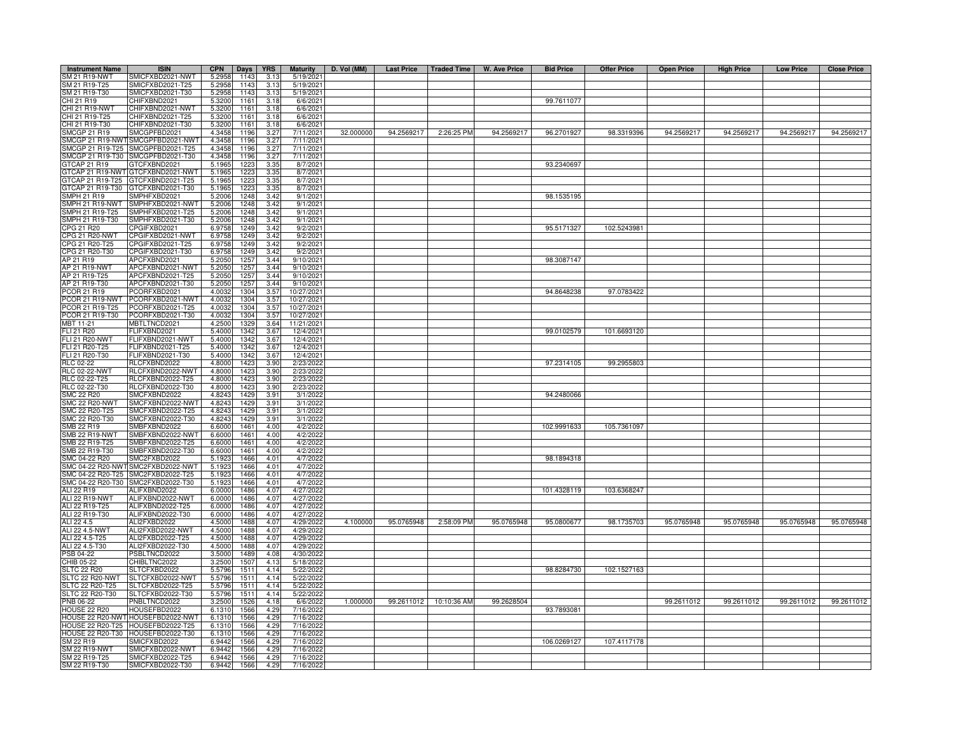| <b>Instrument Name</b>           | <b>ISIN</b>                          | <b>CPN</b>       | Days         | <b>YRS</b>          | <b>Maturity</b>        | D. Vol (MM) | Last Price   Traded Time |                        | W. Ave Price | <b>Bid Price</b> | <b>Offer Price</b> | <b>Open Price</b> | <b>High Price</b> | <b>Low Price</b> | <b>Close Price</b> |
|----------------------------------|--------------------------------------|------------------|--------------|---------------------|------------------------|-------------|--------------------------|------------------------|--------------|------------------|--------------------|-------------------|-------------------|------------------|--------------------|
| SM 21 R19-NWT                    | SMICFXBD2021-NWT                     | 5.2958           | 1143         | 3.13                | 5/19/2021              |             |                          |                        |              |                  |                    |                   |                   |                  |                    |
| SM 21 R19-T25                    | SMICFXBD2021-T25                     | 5.2958           | 1143         | 3.13                | 5/19/2021              |             |                          |                        |              |                  |                    |                   |                   |                  |                    |
| SM 21 R19-T30                    | SMICFXBD2021-T30                     | 5.2958           | 1143         | 3.13                | 5/19/2021              |             |                          |                        |              |                  |                    |                   |                   |                  |                    |
| CHI 21 R19                       | CHIFXBND2021                         | 5.3200           | 1161         | 3.18                | 6/6/2021               |             |                          |                        |              | 99.7611077       |                    |                   |                   |                  |                    |
| CHI 21 R19-NWT                   | CHIFXBND2021-NWT                     | 5.3200           | 1161         | 3.18                | 6/6/2021               |             |                          |                        |              |                  |                    |                   |                   |                  |                    |
| CHI 21 R19-T25                   | CHIFXBND2021-T25                     | 5.3200           | 1161         | 3.18                | 6/6/2021               |             |                          |                        |              |                  |                    |                   |                   |                  |                    |
| CHI 21 R19-T30                   | CHIFXBND2021-T30                     | 5.3200           | 1161         | 3.18                | 6/6/2021               |             |                          |                        |              |                  |                    |                   |                   |                  |                    |
| <b>SMCGP 21 R19</b>              | SMCGPFBD2021                         | 4.3458           | 1196         | 3.27                | 7/11/2021              | 32.000000   | 94.2569217               | 2:26:25 PM             | 94.2569217   | 96.2701927       | 98.3319396         | 94.2569217        | 94.2569217        | 94.2569217       | 94.2569217         |
| <b>SMCGP 21 R19-NWT</b>          | SMCGPFBD2021-NWT                     | 4.3458           | 1196         | 3.27                | 7/11/2021              |             |                          |                        |              |                  |                    |                   |                   |                  |                    |
| SMCGP 21 R19-T25                 | SMCGPFBD2021-T25                     | 4.3458           | 1196         | 3.27                | 7/11/2021              |             |                          |                        |              |                  |                    |                   |                   |                  |                    |
| SMCGP 21 R19-T30                 | SMCGPFBD2021-T30                     | 4.3458           | 1196         | 3.27                | 7/11/2021              |             |                          |                        |              |                  |                    |                   |                   |                  |                    |
| TCAP 21 R19                      | GTCFXBND2021                         | 5.1965           | 122          | $\frac{3.35}{3.35}$ | 8/7/2021               |             |                          |                        |              | 93.2340697       |                    |                   |                   |                  |                    |
|                                  | 3TCAP 21 R19-NWT GTCFXBND2021-NWT    | 5.1965           | 1223         |                     | 8/7/2021               |             |                          |                        |              |                  |                    |                   |                   |                  |                    |
|                                  | STCAP 21 R19-T25 GTCFXBND2021-T25    | 5.1965           | 1223         | 3.35                | 8/7/2021               |             |                          |                        |              |                  |                    |                   |                   |                  |                    |
|                                  | GTCAP 21 R19-T30 GTCFXBND2021-T30    | 5.1965           | 1223         | 3.35                | 8/7/2021               |             |                          |                        |              |                  |                    |                   |                   |                  |                    |
| SMPH 21 R19                      | SMPHFXBD2021                         | 5.2006           | 1248         | 3.42                | 9/1/2021               |             |                          |                        |              | 98.1535195       |                    |                   |                   |                  |                    |
| MPH 21 R19-NWT                   | SMPHFXBD2021-NWT                     | 5.200            | 1248         | 3.42                | 9/1/2021               |             |                          |                        |              |                  |                    |                   |                   |                  |                    |
| MPH 21 R19-T25                   | SMPHFXBD2021-T25                     | 5.200            | 1248         | 3.42                | 9/1/202                |             |                          |                        |              |                  |                    |                   |                   |                  |                    |
| MPH 21 R19-T30                   | SMPHFXBD2021-T30                     | 5.200            | 1248         | 3.42<br>3.42        | 9/1/2021               |             |                          |                        |              | 95.5171327       |                    |                   |                   |                  |                    |
| CPG 21 R20<br>CPG 21 R20-NWT     | CPGIFXBD2021                         | 6.975            | 1249         |                     | 9/2/2021               |             |                          |                        |              |                  | 102.5243981        |                   |                   |                  |                    |
|                                  | CPGIFXBD2021-NWT                     | 6.975            | 1249         | 3.42                | 9/2/202                |             |                          |                        |              |                  |                    |                   |                   |                  |                    |
| CPG 21 R20-T25<br>CPG 21 R20-T30 | CPGIFXBD2021-T25<br>CPGIFXBD2021-T30 | 6.975<br>6.9758  | 1249<br>1249 | 3.42<br>3.42        | 9/2/202<br>9/2/2021    |             |                          |                        |              |                  |                    |                   |                   |                  |                    |
| AP 21 R19                        | APCFXBND2021                         | 5.2050           | 1257         | 3.44                | 9/10/2021              |             |                          |                        |              | 98.3087147       |                    |                   |                   |                  |                    |
| AP 21 R19-NWT                    | APCFXBND2021-NWT                     | 5.2050           | 1257         | 3.44                | 9/10/2021              |             |                          |                        |              |                  |                    |                   |                   |                  |                    |
| AP 21 R19-T25                    | APCFXBND2021-T25                     |                  | 1257         | 3.44                | 9/10/2021              |             |                          |                        |              |                  |                    |                   |                   |                  |                    |
| AP 21 R19-T30                    | APCFXBND2021-T30                     | 5.2050<br>5.2050 | 1257         | 3.44                | 9/10/2021              |             |                          |                        |              |                  |                    |                   |                   |                  |                    |
| PCOR 21 R19                      | PCORFXBD2021                         | 4.003            | 1304         | 3.57                | 10/27/2021             |             |                          |                        |              | 94.8648238       | 97.0783422         |                   |                   |                  |                    |
| PCOR 21 R19-NWT                  | PCORFXBD2021-NWT                     | 4.003            | 1304         | 3.57                | 10/27/2021             |             |                          |                        |              |                  |                    |                   |                   |                  |                    |
| PCOR 21 R19-T25                  | PCORFXBD2021-T25                     | 4.003            | 1304         | 3.57                | 10/27/2021             |             |                          |                        |              |                  |                    |                   |                   |                  |                    |
| PCOR 21 R19-T30                  | PCORFXBD2021-T30                     | 4.003            | 1304         | 3.57                | 10/27/2021             |             |                          |                        |              |                  |                    |                   |                   |                  |                    |
| MBT 11-21                        | MBTLTNCD2021                         | 4.2500           | 1329         | 3.64                | 11/21/2021             |             |                          |                        |              |                  |                    |                   |                   |                  |                    |
| FLI 21 R20                       | FLIFXBND2021                         | 5.4000           | 1342         | 3.67                | 12/4/2021              |             |                          |                        |              | 99.0102579       | 101.6693120        |                   |                   |                  |                    |
| FLI 21 R20-NWT                   | FLIFXBND2021-NWT                     | 5.400            | 1342         | 3.67                | 12/4/2021              |             |                          |                        |              |                  |                    |                   |                   |                  |                    |
| FLI 21 R20-T25                   | -LIFXBND2021-T25                     | 5.4000           | 1342         | 3.67                | 12/4/2021              |             |                          |                        |              |                  |                    |                   |                   |                  |                    |
| FLI 21 R20-T30                   | FLIFXBND2021-T30                     | 5.4000           | 1342         | 3.67                | 12/4/2021              |             |                          |                        |              |                  |                    |                   |                   |                  |                    |
| RLC 02-22                        | RLCFXBND2022                         | 4.800            | 142          | 3.90                | 2/23/202               |             |                          |                        |              | 97.2314105       | 99.2955803         |                   |                   |                  |                    |
| <b>RLC 02-22-NWT</b>             | RLCFXBND2022-NWT                     | 4.800            | 1423         | 3.90                | 2/23/2022              |             |                          |                        |              |                  |                    |                   |                   |                  |                    |
| RLC 02-22-T25                    | RLCFXBND2022-T25                     | 4.800            | 1423         | 3.90                | 2/23/2022              |             |                          |                        |              |                  |                    |                   |                   |                  |                    |
| RLC 02-22-T30                    | RLCFXBND2022-T30                     | 4.8000           | 1423         | 3.90                | 2/23/2022              |             |                          |                        |              |                  |                    |                   |                   |                  |                    |
| <b>SMC 22 R20</b>                | SMCFXBND2022                         | 4.824            | 1429         | 3.91                | 3/1/2022               |             |                          |                        |              | 94.2480066       |                    |                   |                   |                  |                    |
| <b>SMC 22 R20-NWT</b>            | SMCFXBND2022-NWT                     | 4.824            | 1429         | 3.91                | 3/1/2022               |             |                          |                        |              |                  |                    |                   |                   |                  |                    |
| MC 22 R20-T25                    | SMCFXBND2022-T25                     | 4.824            | 1429         | 3.91                | 3/1/2022               |             |                          |                        |              |                  |                    |                   |                   |                  |                    |
| MC 22 R20-T30                    | SMCFXBND2022-T30                     | 4.824            | 1429         | 3.91                | 3/1/2022               |             |                          |                        |              |                  |                    |                   |                   |                  |                    |
| MB 22 R19                        | SMBFXBND2022                         | 6.600            | 1461         | 4.00                | 4/2/2022               |             |                          |                        |              | 102.9991633      | 105.7361097        |                   |                   |                  |                    |
| <b>SMB 22 R19-NWT</b>            | SMBFXBND2022-NWT                     | 6.6000           | 1461         | 4.00                | 4/2/2022               |             |                          |                        |              |                  |                    |                   |                   |                  |                    |
| MB 22 R19-T25                    | SMBFXBND2022-T25                     | 6.600            | 1461         | 4.00                | 4/2/2022               |             |                          |                        |              |                  |                    |                   |                   |                  |                    |
| SMB 22 R19-T30                   | SMBFXBND2022-T30                     | 6.6000           | 1461         | 4.00                | 4/2/2022               |             |                          |                        |              |                  |                    |                   |                   |                  |                    |
| SMC 04-22 R20                    | SMC2FXBD2022                         | 5.192            | 1466         | 4.01                | 4/7/2022               |             |                          |                        |              | 98.1894318       |                    |                   |                   |                  |                    |
|                                  | SMC 04-22 R20-NWT SMC2FXBD2022-NWT   | 5.192            | 1466         | 4.01                | 4/7/2022               |             |                          |                        |              |                  |                    |                   |                   |                  |                    |
| SMC 04-22 R20-T25                | SMC2FXBD2022-T25                     | 5.192            | 1466         | 4.01                | 4/7/2022               |             |                          |                        |              |                  |                    |                   |                   |                  |                    |
|                                  | SMC 04-22 R20-T30 SMC2FXBD2022-T30   | 5.192            | 1466         | 4.01                | 4/7/2022               |             |                          |                        |              |                  |                    |                   |                   |                  |                    |
| ALI 22 R19                       | ALIFXBND2022                         | 6.0000           | 1486         | 4.07                | 4/27/2022              |             |                          |                        |              | 101.4328119      | 103.6368247        |                   |                   |                  |                    |
| ALI 22 R19-NWT                   | ALIEXBND2022-NWT                     | 6.0000           | 1486         | 4.07                | 4/27/2022              |             |                          |                        |              |                  |                    |                   |                   |                  |                    |
| ALI 22 R19-T25                   | ALIFXBND2022-T25                     | 6.0000           | 1486         | 4.07                | 4/27/2022              |             |                          |                        |              |                  |                    |                   |                   |                  |                    |
| ALI 22 R19-T30                   | ALIFXBND2022-T30                     | 6.0000           | 1486         | 4.07                | 4/27/2022              |             |                          |                        |              |                  |                    |                   |                   |                  |                    |
| ALI 22 4.5                       | ALI2FXBD2022                         | 4.5000           | 1488         | 4.07                | 4/29/202               | 4.100000    | 95.0765948               | 2:58:09 PM             | 95.0765948   | 95.0800677       | 98.1735703         | 95.0765948        | 95.0765948        | 95.0765948       | 95.0765948         |
| ALI 22 4.5-NWT                   | ALI2FXBD2022-NWT                     | 4.5000           | 1488         | 4.07                | 4/29/2022              |             |                          |                        |              |                  |                    |                   |                   |                  |                    |
| ALI 22 4.5-T25                   | ALI2FXBD2022-T25                     | 4.5000           | 1488         | 4.07                | 4/29/2022              |             |                          |                        |              |                  |                    |                   |                   |                  |                    |
| ALI 22 4.5-T30                   | ALI2FXBD2022-T30                     | 4.5000           | 1488         | 4.07                | 4/29/2022              |             |                          |                        |              |                  |                    |                   |                   |                  |                    |
| <b>PSB 04-22</b>                 | PSBLTNCD2022                         | 3.5000           | 1489         | 4.08                | 4/30/2022              |             |                          |                        |              |                  |                    |                   |                   |                  |                    |
| CHIB 05-22                       | CHIBLTNC2022                         | 3.2500           | 1507         | 4.13                | 5/18/2022              |             |                          |                        |              |                  |                    |                   |                   |                  |                    |
| SLTC 22 R20<br>SLTC 22 R20-NWT   | SLTCFXBD2022<br>SLTCFXBD2022-NWT     | 5.5796<br>5.5796 | 1511<br>1511 | 4.14<br>4.14        | 5/22/2022<br>5/22/2022 |             |                          |                        |              | 98.8284730       | 102.1527163        |                   |                   |                  |                    |
| SLTC 22 R20-T25                  | SLTCFXBD2022-T25                     | 5.5796           | 1511         | 4.14                | 5/22/2022              |             |                          |                        |              |                  |                    |                   |                   |                  |                    |
| SLTC 22 R20-T30                  |                                      |                  |              |                     |                        |             |                          |                        |              |                  |                    |                   |                   |                  |                    |
| <b>PNB 06-22</b>                 | SLTCFXBD2022-T30<br>PNBLTNCD2022     | 5.5796           | 1511         | 4.14                | 5/22/2022<br>6/6/2022  | 1.000000    |                          | 99.2611012 10:10:36 AM |              |                  |                    |                   |                   |                  | 99.2611012         |
|                                  | HOUSEFBD2022                         | 3.2500<br>6.1310 | 1526         | 4.18<br>4.29        | 7/16/2022              |             |                          |                        | 99.2628504   | 93.7893081       |                    | 99.2611012        | 99.2611012        | 99.2611012       |                    |
| <b>HOUSE 22 R20</b>              | HOUSE 22 R20-NWT HOUSEFBD2022-NWT    | 6.1310           | 1566<br>1566 | 4.29                | 7/16/2022              |             |                          |                        |              |                  |                    |                   |                   |                  |                    |
|                                  | HOUSE 22 R20-T25 HOUSEFBD2022-T25    | 6.1310           | 1566         | 4.29                | 7/16/2022              |             |                          |                        |              |                  |                    |                   |                   |                  |                    |
|                                  | HOUSE 22 R20-T30 HOUSEFBD2022-T30    | 6.1310           | 1566         | 4.29                | 7/16/2022              |             |                          |                        |              |                  |                    |                   |                   |                  |                    |
| SM 22 R19                        | SMICFXBD2022                         | 6.9442           | 1566         | 4.29                | 7/16/2022              |             |                          |                        |              | 106.0269127      | 107.4117178        |                   |                   |                  |                    |
| <b>SM 22 R19-NWT</b>             | SMICFXBD2022-NWT                     | 6.9442           | 1566         | 4.29                | 7/16/2022              |             |                          |                        |              |                  |                    |                   |                   |                  |                    |
| SM 22 R19-T25                    | SMICFXBD2022-T25                     | 6.9442           | 1566         | 4.29                | 7/16/2022              |             |                          |                        |              |                  |                    |                   |                   |                  |                    |
| SM 22 R19-T30                    | SMICFXBD2022-T30                     | 6.9442           | 1566         | 4.29                | 7/16/2022              |             |                          |                        |              |                  |                    |                   |                   |                  |                    |
|                                  |                                      |                  |              |                     |                        |             |                          |                        |              |                  |                    |                   |                   |                  |                    |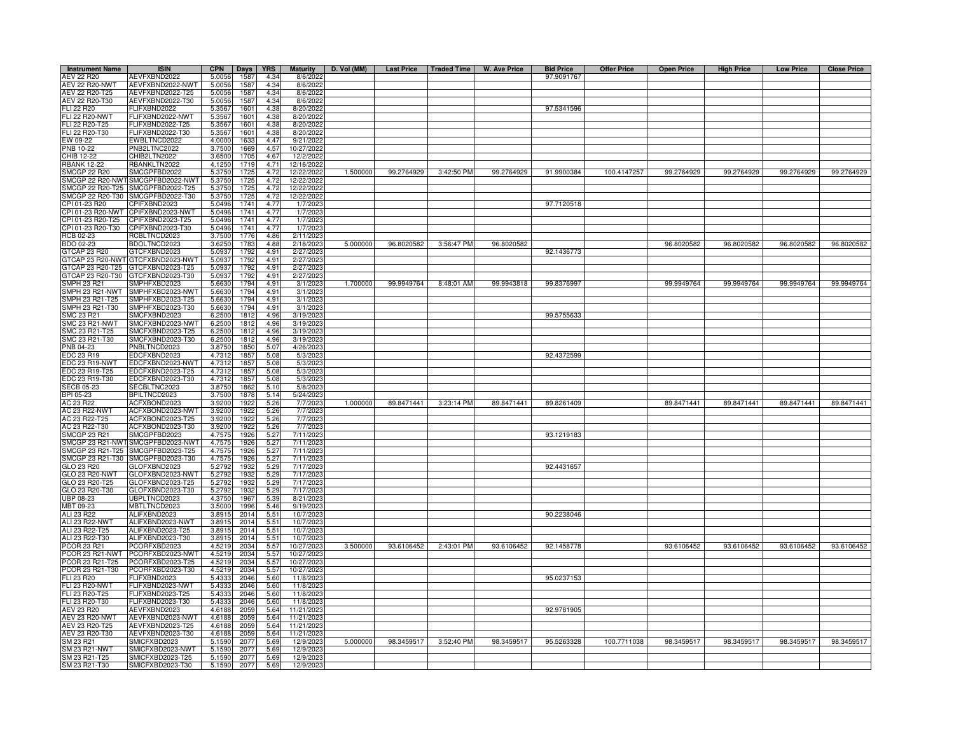| <b>Instrument Name</b>              | <b>ISIN</b>                       | <b>CPN</b>       | Days         | <b>YRS</b>   | <b>Maturity</b>          | D. Vol (MM) | <b>Last Price</b> | Traded Time | W. Ave Price | <b>Bid Price</b> | <b>Offer Price</b> | <b>Open Price</b> | <b>High Price</b> | <b>Low Price</b> | <b>Close Price</b> |
|-------------------------------------|-----------------------------------|------------------|--------------|--------------|--------------------------|-------------|-------------------|-------------|--------------|------------------|--------------------|-------------------|-------------------|------------------|--------------------|
| AEV 22 R20                          | AEVFXBND2022                      | 5.0056           | 1587         | 4.34         | 8/6/2022                 |             |                   |             |              | 97.9091767       |                    |                   |                   |                  |                    |
| <b>AEV 22 R20-NWT</b>               | AEVFXBND2022-NWT                  | 5.0056           | 1587         | 4.34         | 8/6/2022                 |             |                   |             |              |                  |                    |                   |                   |                  |                    |
| AEV 22 R20-T25                      | AEVFXBND2022-T25                  | 5.0056           | 1587         | 4.34         | 8/6/2022                 |             |                   |             |              |                  |                    |                   |                   |                  |                    |
| AEV 22 R20-T30<br>FLI 22 R20        | AEVFXBND2022-T30<br>FLIFXBND2022  | 5.0056<br>5.3567 | 1587<br>1601 | 4.34<br>4.38 | 8/6/2022<br>8/20/2022    |             |                   |             |              | 97.5341596       |                    |                   |                   |                  |                    |
| <b>FLI 22 R20-NWT</b>               | FLIFXBND2022-NWT                  | 5.3567           | 1601         | 4.38         | 8/20/2022                |             |                   |             |              |                  |                    |                   |                   |                  |                    |
| FLI 22 R20-T25                      | FLIFXBND2022-T25                  | 5.3567           | 1601         | 4.38         | 8/20/2022                |             |                   |             |              |                  |                    |                   |                   |                  |                    |
| FLI 22 R20-T30                      | FLIFXBND2022-T30                  | 5.3567           | 1601         | 4.38         | 8/20/2022                |             |                   |             |              |                  |                    |                   |                   |                  |                    |
| EW 09-22                            | EWBLTNCD2022                      | 4.0000           | 1633         | 4.47         | 9/21/2022                |             |                   |             |              |                  |                    |                   |                   |                  |                    |
| PNB 10-22                           | PNB2LTNC2022                      | 3.7500           | 1669         | 4.57         | 10/27/2022               |             |                   |             |              |                  |                    |                   |                   |                  |                    |
| CHIB 12-22                          | CHIB2LTN2022                      | 3.6500           | 1705         | 4.67         | 12/2/2022                |             |                   |             |              |                  |                    |                   |                   |                  |                    |
| <b>RBANK 12-22</b><br>SMCGP 22 R20  | RBANKLTN2022<br>SMCGPFBD2022      | 4.1250<br>5.3750 | 1719<br>1725 | 4.71<br>4.72 | 12/16/202<br>12/22/2022  | 1.500000    | 99.2764929        | 3:42:50 PM  | 99.2764929   | 91.9900384       | 100.4147257        | 99.2764929        | 99.2764929        | 99.2764929       | 99.2764929         |
|                                     | MCGP 22 R20-NWT SMCGPFBD2022-NWT  | 5.3750           | 1725         | 4.72         | 12/22/2022               |             |                   |             |              |                  |                    |                   |                   |                  |                    |
|                                     | MCGP 22 R20-T25 SMCGPFBD2022-T25  | 5.3750           | 1725         | 4.72         | 12/22/2022               |             |                   |             |              |                  |                    |                   |                   |                  |                    |
|                                     | MCGP 22 R20-T30 SMCGPFBD2022-T30  | 5.3750           | 1725         | 4.72         | 12/22/2022               |             |                   |             |              |                  |                    |                   |                   |                  |                    |
| CPI 01-23 R20                       | CPIFXBND2023                      | 5.0496           | 1741         | 4.77         | 1/7/202                  |             |                   |             |              | 97.7120518       |                    |                   |                   |                  |                    |
| PI 01-23 R20-NWT                    | CPIFXBND2023-NWT                  | 5.0496           | 1741         | 4.77         | 1/7/202                  |             |                   |             |              |                  |                    |                   |                   |                  |                    |
| PI 01-23 R20-T25                    | CPIFXBND2023-T25                  | 5.0496           | 1741         | 4.77         | 1/7/2023                 |             |                   |             |              |                  |                    |                   |                   |                  |                    |
| CPI 01-23 R20-T30                   | CPIFXBND2023-T30                  | 5.0496           | 1741         | 4.77         | 1/7/2023                 |             |                   |             |              |                  |                    |                   |                   |                  |                    |
| RCB 02-23                           | RCBLTNCD2023                      | 3.7500           | 1776         | 4.86         | 2/11/2023                |             |                   |             |              |                  |                    |                   |                   |                  |                    |
| BDO 02-23<br>GTCAP 23 R20           | BDOLTNCD2023<br>GTCFXBND2023      | 3.625<br>5.093   | 1783<br>1792 | 4.88<br>4.91 | 2/18/2023<br>2/27/2023   | 5.000000    | 96.8020582        | 3:56:47 PM  | 96.8020582   | 92.1436773       |                    | 96.8020582        | 96.8020582        | 96.8020582       | 96.8020582         |
|                                     | 3TCAP 23 R20-NWT GTCFXBND2023-NWT | 5.093            | 1792         | 4.91         | 2/27/202                 |             |                   |             |              |                  |                    |                   |                   |                  |                    |
|                                     | GTCAP 23 R20-T25 GTCFXBND2023-T25 | 5.0937           | 1792         | 4.91         | 2/27/2023                |             |                   |             |              |                  |                    |                   |                   |                  |                    |
| GTCAP 23 R20-T30                    | GTCFXBND2023-T30                  | 5.0937           | 1792         | 4.91         | 2/27/2023                |             |                   |             |              |                  |                    |                   |                   |                  |                    |
| SMPH 23 R21                         | SMPHFXBD2023                      | 5.663            | 1794         | 4.91         | 3/1/2023                 | 1.700000    | 99.9949764        | 8:48:01 AM  | 99.9943818   | 99.8376997       |                    | 99.9949764        | 99.9949764        | 99.9949764       | 99.9949764         |
| SMPH 23 R21-NWT                     | SMPHFXBD2023-NWT                  | 5.6630           | 1794         | 4.91         | 3/1/2023                 |             |                   |             |              |                  |                    |                   |                   |                  |                    |
| MPH 23 R21-T25                      | SMPHFXBD2023-T25                  | 5.663            | 1794         | 4.91         | 3/1/202                  |             |                   |             |              |                  |                    |                   |                   |                  |                    |
| MPH 23 R21-T30                      | SMPHFXBD2023-T30                  | 5.6630           | 1794         | 4.91         | 3/1/202                  |             |                   |             |              |                  |                    |                   |                   |                  |                    |
| <b>SMC 23 R21</b><br>SMC 23 R21-NWT | SMCFXBND2023<br>SMCFXBND2023-NWT  | 6.2500<br>6.2500 | 1812<br>1812 | 4.96<br>4.96 | 3/19/202<br>3/19/202     |             |                   |             |              | 99.5755633       |                    |                   |                   |                  |                    |
| SMC 23 R21-T25                      | SMCFXBND2023-T25                  | 6.2500           | 1812         | 4.96         | 3/19/2023                |             |                   |             |              |                  |                    |                   |                   |                  |                    |
| SMC 23 R21-T30                      | SMCFXBND2023-T30                  | 6.250            | 1812         | 4.96         | 3/19/2023                |             |                   |             |              |                  |                    |                   |                   |                  |                    |
| PNB 04-23                           | PNBLTNCD2023                      | 3.8750           | 1850         | 5.07         | 4/26/202                 |             |                   |             |              |                  |                    |                   |                   |                  |                    |
| EDC 23 R19                          | EDCFXBND2023                      | 4.731            | 1857         | 5.08         | 5/3/202                  |             |                   |             |              | 92.4372599       |                    |                   |                   |                  |                    |
| DC 23 R19-NWT                       | EDCFXBND2023-NWT                  | 4.731            | 185          | 5.08         | 5/3/202                  |             |                   |             |              |                  |                    |                   |                   |                  |                    |
| EDC 23 R19-T25                      | EDCFXBND2023-T25                  | 4.731            | 1857         | 5.08         | 5/3/2023                 |             |                   |             |              |                  |                    |                   |                   |                  |                    |
| EDC 23 R19-T30                      | EDCFXBND2023-T30                  | 4.731            | 1857         | 5.08         | 5/3/2023                 |             |                   |             |              |                  |                    |                   |                   |                  |                    |
| <b>SECB 05-23</b>                   | SECBLTNC2023<br>BPILTNCD2023      | 3.8750<br>3.7500 | 1862<br>1878 | 5.10<br>5.14 | 5/8/2023<br>5/24/2023    |             |                   |             |              |                  |                    |                   |                   |                  |                    |
| BPI 05-23<br>AC 23 R22              | ACFXBOND2023                      | 3.9200           | 1922         | 5.26         | 7/7/2023                 | 1.000000    | 89.8471441        | 3:23:14 PM  | 89.8471441   | 89.8261409       |                    | 89.8471441        | 89.8471441        | 89.8471441       | 89.8471441         |
| <b>AC 23 R22-NWT</b>                | ACFXBOND2023-NWT                  | 3.9200           | 1922         | 5.26         | 7/7/2023                 |             |                   |             |              |                  |                    |                   |                   |                  |                    |
| AC 23 R22-T25                       | ACFXBOND2023-T25                  | 3.920            | 1922         | 5.26         | 7/7/202                  |             |                   |             |              |                  |                    |                   |                   |                  |                    |
| AC 23 R22-T30                       | ACFXBOND2023-T30                  | 3.9200           | 1922         | 5.26         | 7/7/2023                 |             |                   |             |              |                  |                    |                   |                   |                  |                    |
| <b>SMCGP 23 R21</b>                 | SMCGPFBD2023                      | 4.7575           | 1926         | 5.27         | 7/11/2023                |             |                   |             |              | 93.1219183       |                    |                   |                   |                  |                    |
| MCGP 23 R21-NWT                     | SMCGPFBD2023-NWT                  | 4.757            | 1926         | 5.27         | 7/11/2023                |             |                   |             |              |                  |                    |                   |                   |                  |                    |
| MCGP 23 R21-T25                     | SMCGPFBD2023-T25                  | 4.757            | 1926         | 5.27         | 7/11/2023                |             |                   |             |              |                  |                    |                   |                   |                  |                    |
| MCGP 23 R21-T30                     | SMCGPFBD2023-T30                  | 4.757            | 1926         | 5.27         | 7/11/202                 |             |                   |             |              | 92.4431657       |                    |                   |                   |                  |                    |
| GLO 23 R20<br>GLO 23 R20-NWT        | GLOFXBND2023<br>GLOFXBND2023-NWT  | 5.279<br>5.279   | 1932<br>1932 | 5.29<br>5.29 | 7/17/2023<br>7/17/2023   |             |                   |             |              |                  |                    |                   |                   |                  |                    |
| GLO 23 R20-T25                      | GLOFXBND2023-T25                  | 5.2792           | 1932         | 5.29         | 7/17/2023                |             |                   |             |              |                  |                    |                   |                   |                  |                    |
| GLO 23 R20-T30                      | GLOFXBND2023-T30                  | 5.2792           | 1932         | 5.29         | 7/17/2023                |             |                   |             |              |                  |                    |                   |                   |                  |                    |
| UBP 08-23                           | UBPLTNCD2023                      | 4.3750           | 1967         | 5.39         | 8/21/2023                |             |                   |             |              |                  |                    |                   |                   |                  |                    |
| MBT 09-23                           | MBTLTNCD2023                      | 3.5000           | 1996         | 5.46         | 9/19/2023                |             |                   |             |              |                  |                    |                   |                   |                  |                    |
| ALI 23 R22                          | ALIFXBND2023                      | 3.891            | 2014         | 5.51         | 10/7/2023                |             |                   |             |              | 90.2238046       |                    |                   |                   |                  |                    |
| ALI 23 R22-NWT                      | ALIFXBND2023-NWT                  | 3.891            | 2014         | 5.51         | 10/7/2023                |             |                   |             |              |                  |                    |                   |                   |                  |                    |
| ALI 23 R22-T25                      | ALIFXBND2023-T25                  | 3.8915           | 2014         | 5.51         | 10/7/2023                |             |                   |             |              |                  |                    |                   |                   |                  |                    |
| ALI 23 R22-T30<br>PCOR 23 R21       | ALIFXBND2023-T30<br>PCORFXBD2023  | 3.891<br>4.5219  | 2014<br>2034 | 5.51<br>5.57 | 10/7/2023<br>10/27/2023  | 3.500000    | 93.6106452        | 2:43:01 PM  | 93.6106452   | 92.1458778       |                    | 93.6106452        | 93.6106452        | 93.6106452       | 93.6106452         |
| PCOR 23 R21-NWT                     | PCORFXBD2023-NWT                  | 4.5219           | 2034         | 5.57         | 10/27/2023               |             |                   |             |              |                  |                    |                   |                   |                  |                    |
| PCOR 23 R21-T25                     | PCORFXBD2023-T25                  | 4.5219           | 2034         | 5.57         | 10/27/2023               |             |                   |             |              |                  |                    |                   |                   |                  |                    |
| PCOR 23 R21-T30                     | PCORFXBD2023-T30                  | 4.5219           | 2034         | 5.57         | 10/27/2023               |             |                   |             |              |                  |                    |                   |                   |                  |                    |
| FLI 23 R20                          | FLIFXBND2023                      | 5.4333           | 2046         | 5.60         | 11/8/2023                |             |                   |             |              | 95.0237153       |                    |                   |                   |                  |                    |
| <b>FLI 23 R20-NWT</b>               | FLIFXBND2023-NWT                  | 5.4333           | 2046         | 5.60         | 11/8/2023                |             |                   |             |              |                  |                    |                   |                   |                  |                    |
| FLI 23 R20-T25                      | FLIFXBND2023-T25                  | 5.4333           | 2046         | 5.60         | 11/8/2023                |             |                   |             |              |                  |                    |                   |                   |                  |                    |
| FLI 23 R20-T30                      | FLIFXBND2023-T30                  | 5.4333           | 2046         | 5.60         | 11/8/2023                |             |                   |             |              |                  |                    |                   |                   |                  |                    |
| AEV 23 R20<br>AEV 23 R20-NWT        | AEVFXBND2023<br>AEVFXBND2023-NWT  | 4.6188           | 2059         | 5.64<br>5.64 | 11/21/2023<br>11/21/2023 |             |                   |             |              | 92.9781905       |                    |                   |                   |                  |                    |
| AEV 23 R20-T25                      | AEVFXBND2023-T25                  | 4.6188<br>4.6188 | 2059<br>2059 | 5.64         | 11/21/202                |             |                   |             |              |                  |                    |                   |                   |                  |                    |
| AEV 23 R20-T30                      | AEVFXBND2023-T30                  | 4.6188           | 2059         | 5.64         | 11/21/2023               |             |                   |             |              |                  |                    |                   |                   |                  |                    |
| SM 23 R21                           | SMICFXBD2023                      | 5.159            | 2077         | 5.69         | 12/9/2023                | 5.000000    | 98.3459517        | 3:52:40 PM  | 98.3459517   | 95.5263328       | 100.7711038        | 98.3459517        | 98.3459517        | 98.3459517       | 98.3459517         |
| SM 23 R21-NWT                       | SMICFXBD2023-NWT                  | 5.1590           | 2077         | 5.69         | 12/9/2023                |             |                   |             |              |                  |                    |                   |                   |                  |                    |
| SM 23 R21-T25                       | SMICFXBD2023-T25                  | 5.159            | 2077         | 5.69         | 12/9/202                 |             |                   |             |              |                  |                    |                   |                   |                  |                    |
| SM 23 R21-T30                       | SMICFXBD2023-T30                  | 5.1590           | 2077         | 5.69         | 12/9/2023                |             |                   |             |              |                  |                    |                   |                   |                  |                    |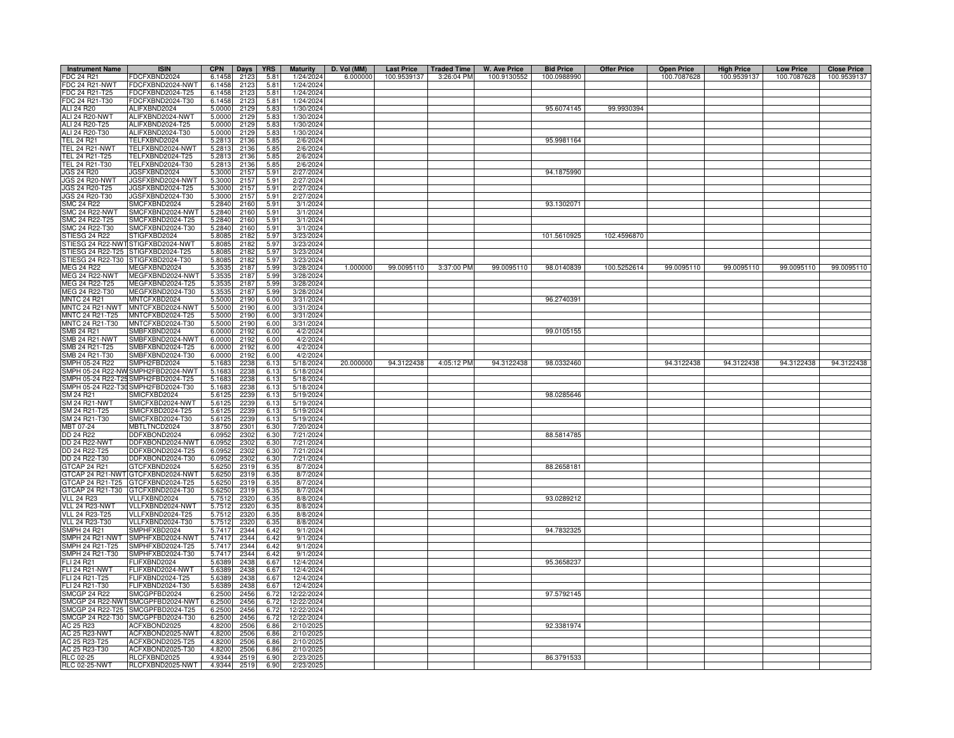| <b>Instrument Name</b>           | <b>ISIN</b>                          | <b>CPN</b>       | <b>Days</b>  | <b>YRS</b>   | <b>Maturity</b>         | D. Vol (MM) | <b>Last Price</b> | <b>Traded Time</b> | <b>W. Ave Price</b> | <b>Bid Price</b> | <b>Offer Price</b> | <b>Open Price</b> | <b>High Price</b> | <b>Low Price</b> | <b>Close Price</b> |
|----------------------------------|--------------------------------------|------------------|--------------|--------------|-------------------------|-------------|-------------------|--------------------|---------------------|------------------|--------------------|-------------------|-------------------|------------------|--------------------|
| FDC 24 R21                       | DCFXBND2024                          | 6.1458           | 2123         | 5.81         | 1/24/2024               | 6.000000    | 100.9539137       | 3:26:04 PM         | 100.9130552         | 100.0988990      |                    | 100.7087628       | 100.9539137       | 100.7087628      | 100.9539137        |
| <b>FDC 24 R21-NWT</b>            | FDCFXBND2024-NWT                     | 6.1458           | 2123         | 5.81         | 1/24/2024               |             |                   |                    |                     |                  |                    |                   |                   |                  |                    |
| FDC 24 R21-T25                   | FDCFXBND2024-T25                     | 6.1458           | 2123         | 5.81         | 1/24/2024               |             |                   |                    |                     |                  |                    |                   |                   |                  |                    |
| FDC 24 R21-T30                   | FDCFXBND2024-T30                     | 6.1458           | 2123         | 5.81         | 1/24/2024               |             |                   |                    |                     |                  |                    |                   |                   |                  |                    |
| ALI 24 R20                       | ALIFXBND2024                         | 5.0000           | 2129         | 5.83         | 1/30/2024               |             |                   |                    |                     | 95.6074145       | 99.9930394         |                   |                   |                  |                    |
| ALI 24 R20-NWT                   | ALIFXBND2024-NWT                     | 5.0000           | 2129         | 5.83         | 1/30/2024               |             |                   |                    |                     |                  |                    |                   |                   |                  |                    |
| ALI 24 R20-T25                   | ALIFXBND2024-T25                     | 5.0000           | 2129         | 5.83         | 1/30/2024               |             |                   |                    |                     |                  |                    |                   |                   |                  |                    |
| ALI 24 R20-T30                   | ALIFXBND2024-T30                     | 5.0000           | 2129         | 5.83         | 1/30/2024               |             |                   |                    |                     |                  |                    |                   |                   |                  |                    |
| <b>TEL 24 R21</b>                | TELFXBND2024                         | 5.2813           | 2136         | 5.85         | 2/6/2024                |             |                   |                    |                     | 95.9981164       |                    |                   |                   |                  |                    |
| TEL 24 R21-NWT                   | FELFXBND2024-NWT                     | 5.2813           | 2136         | 5.85         | 2/6/2024                |             |                   |                    |                     |                  |                    |                   |                   |                  |                    |
| TEL 24 R21-T25                   | TELFXBND2024-T25                     | 5.2813           | 2136         | 5.85         | 2/6/2024                |             |                   |                    |                     |                  |                    |                   |                   |                  |                    |
| TEL 24 R21-T30                   | ELFXBND2024-T30                      | 5.2813           | 2136         | 5.85         | 2/6/202                 |             |                   |                    |                     |                  |                    |                   |                   |                  |                    |
| JGS 24 R20                       | JGSFXBND2024                         | 5.3000           | 2157         | 5.91         | 2/27/2024               |             |                   |                    |                     | 94.1875990       |                    |                   |                   |                  |                    |
| JGS 24 R20-NWT<br>JGS 24 R20-T25 | JGSFXBND2024-NWT<br>JGSFXBND2024-T25 | 5.3000<br>5.3000 | 215<br>2157  | 5.91<br>5.91 | 2/27/2024<br>2/27/2024  |             |                   |                    |                     |                  |                    |                   |                   |                  |                    |
| JGS 24 R20-T30                   | JGSFXBND2024-T30                     | 5.3000           | 2157         | 5.91         | 2/27/2024               |             |                   |                    |                     |                  |                    |                   |                   |                  |                    |
| <b>SMC 24 R22</b>                | SMCFXBND2024                         | 5.2840           | 2160         | 5.91         | 3/1/2024                |             |                   |                    |                     | 93.1302071       |                    |                   |                   |                  |                    |
| <b>SMC 24 R22-NWT</b>            | SMCFXBND2024-NWT                     | 5.2840           | 2160         | 5.91         | 3/1/2024                |             |                   |                    |                     |                  |                    |                   |                   |                  |                    |
| SMC 24 R22-T25                   | SMCFXBND2024-T25                     | 5.2840           | 2160         | 5.91         | 3/1/202                 |             |                   |                    |                     |                  |                    |                   |                   |                  |                    |
| MC 24 R22-T30                    | SMCFXBND2024-T30                     | 5.2840           | 2160         | 5.91         | 3/1/202                 |             |                   |                    |                     |                  |                    |                   |                   |                  |                    |
| TIESG 24 R22                     | TIGFXBD2024                          | 5.8085           | 2182         | 5.97         | 3/23/2024               |             |                   |                    |                     | 101.5610925      | 102.4596870        |                   |                   |                  |                    |
| STIESG 24 R22-NW                 | STIGFXBD2024-NWT                     | 5.8085           | 2182         | 5.97         | 3/23/2024               |             |                   |                    |                     |                  |                    |                   |                   |                  |                    |
| STIESG 24 R22-T25                | STIGFXBD2024-T25                     | 5.8085           | 2182         | 5.97         | 3/23/2024               |             |                   |                    |                     |                  |                    |                   |                   |                  |                    |
| STIESG 24 R22-T30                | STIGFXBD2024-T30                     | 5.8085           | 2182         | 5.9          | 3/23/202                |             |                   |                    |                     |                  |                    |                   |                   |                  |                    |
| MEG 24 R22                       | MEGFXBND2024                         | 5.3535           | 2187         | 5.99         | 3/28/2024               | 1.000000    | 99.0095110        | 3:37:00 PM         | 99.0095110          | 98.0140839       | 100.5252614        | 99.0095110        | 99.0095110        | 99.0095110       | 99.0095110         |
| <b>MEG 24 R22-NWT</b>            | MEGFXBND2024-NWT                     | 5.3535           | 2187         | 5.99         | 3/28/2024               |             |                   |                    |                     |                  |                    |                   |                   |                  |                    |
| MEG 24 R22-T25                   | MEGFXBND2024-T25                     | 5.3535           | 2187         | 5.99         | 3/28/2024               |             |                   |                    |                     |                  |                    |                   |                   |                  |                    |
| MEG 24 R22-T30                   | MEGFXBND2024-T30                     | 5.3535           | 2187         | 5.99         | 3/28/2024               |             |                   |                    |                     |                  |                    |                   |                   |                  |                    |
| <b>MNTC 24 R21</b>               | MNTCFXBD2024                         | 5.5000           | 2190         | 6.00         | 3/31/2024               |             |                   |                    |                     | 96.2740391       |                    |                   |                   |                  |                    |
| MNTC 24 R21-NWT                  | MNTCFXBD2024-NWT                     | 5.5000           | 2190         | 6.00         | 3/31/2024               |             |                   |                    |                     |                  |                    |                   |                   |                  |                    |
| MNTC 24 R21-T25                  | MNTCFXBD2024-T25                     | 5.5000           | 2190         | 6.00         | 3/31/2024               |             |                   |                    |                     |                  |                    |                   |                   |                  |                    |
| MNTC 24 R21-T30                  | MNTCFXBD2024-T30                     | 5.5000           | 2190         | 6.00         | 3/31/2024               |             |                   |                    |                     |                  |                    |                   |                   |                  |                    |
| SMB 24 R21                       | MBFXBND2024                          | 6.0000           | 2192         | 6.00         | 4/2/2024                |             |                   |                    |                     | 99.0105155       |                    |                   |                   |                  |                    |
| SMB 24 R21-NWT                   | MBFXBND2024-NWT                      | 6,0000           | 2192         | 6.00         | 4/2/2024                |             |                   |                    |                     |                  |                    |                   |                   |                  |                    |
| SMB 24 R21-T25                   | SMBFXBND2024-T25                     | 6.0000           | 2192         | 6.00         | 4/2/2024                |             |                   |                    |                     |                  |                    |                   |                   |                  |                    |
| SMB 24 R21-T30                   | SMBFXBND2024-T30                     | 6.0000           | 2192         | 6.00         | 4/2/2024                |             |                   |                    |                     |                  |                    |                   |                   |                  |                    |
| SMPH 05-24 R22                   | MPH2FBD2024                          | 5.1683           | 2238         | 6.13         | 5/18/2024               | 20.000000   | 94.3122438        | 4:05:12 PM         | 94.3122438          | 98.0332460       |                    | 94.3122438        | 94.3122438        | 94.3122438       | 94.3122438         |
| SMPH 05-24 R22-NW                | MPH2FBD2024-NWT                      | 5.1683           | 2238         | 6.13         | 5/18/2024               |             |                   |                    |                     |                  |                    |                   |                   |                  |                    |
| MPH 05-24 R22-T25                | MPH2FBD2024-T25                      | 5.1683           | 2238         | 6.13         | 5/18/2024               |             |                   |                    |                     |                  |                    |                   |                   |                  |                    |
|                                  | SMPH 05-24 R22-T30 SMPH2FBD2024-T30  | 5.1683           | 2238         | 6.13         | 5/18/2024               |             |                   |                    |                     |                  |                    |                   |                   |                  |                    |
| SM 24 R21                        | SMICFXBD2024                         | 5.6125           | 2239<br>2239 | 6.13         | 5/19/2024               |             |                   |                    |                     | 98.0285646       |                    |                   |                   |                  |                    |
| SM 24 R21-NWT<br>SM 24 R21-T25   | SMICFXBD2024-NWT<br>SMICFXBD2024-T25 | 5.6125           | 2239         | 6.13<br>6.13 | 5/19/2024<br>5/19/2024  |             |                   |                    |                     |                  |                    |                   |                   |                  |                    |
| SM 24 R21-T30                    | MICFXBD2024-T30                      | 5.6125<br>5.6125 | 2239         | 6.13         | 5/19/2024               |             |                   |                    |                     |                  |                    |                   |                   |                  |                    |
| MBT 07-24                        | MBTLTNCD2024                         | 3.8750           | 2301         | 6.30         | 7/20/2024               |             |                   |                    |                     |                  |                    |                   |                   |                  |                    |
| DD 24 R22                        | DDFXBOND2024                         | 6.0952           | 2302         | 6.30         | 7/21/2024               |             |                   |                    |                     | 88.5814785       |                    |                   |                   |                  |                    |
| <b>DD 24 R22-NWT</b>             | DDFXBOND2024-NWT                     | 6.0952           | 2302         | 6.30         | 7/21/2024               |             |                   |                    |                     |                  |                    |                   |                   |                  |                    |
| DD 24 R22-T25                    | DDFXBOND2024-T25                     | 6.0952           | 2302         | 6.30         | 7/21/2024               |             |                   |                    |                     |                  |                    |                   |                   |                  |                    |
| DD 24 R22-T30                    | DFXBOND2024-T30                      | 6.0952           | 2302         | 6.30         | 7/21/2024               |             |                   |                    |                     |                  |                    |                   |                   |                  |                    |
| GTCAP 24 R21                     | GTCFXBND2024                         | 5.6250           | 2319         | 6.35         | 8/7/2024                |             |                   |                    |                     | 88.2658181       |                    |                   |                   |                  |                    |
| GTCAP 24 R21-NW                  | GTCFXBND2024-NWT                     | 5.6250           | 2319         | 6.35         | 8/7/2024                |             |                   |                    |                     |                  |                    |                   |                   |                  |                    |
| GTCAP 24 R21-T25                 | GTCFXBND2024-T25                     | 5.6250           | 2319         | 6.35         | 8/7/202                 |             |                   |                    |                     |                  |                    |                   |                   |                  |                    |
| GTCAP 24 R21-T30                 | GTCFXBND2024-T30                     | 5.6250           | 2319         | 6.35         | 8/7/2024                |             |                   |                    |                     |                  |                    |                   |                   |                  |                    |
| <b>VLL 24 R23</b>                | /LLFXBND2024                         | 5.7512           | 2320         | 6.35         | 8/8/202                 |             |                   |                    |                     | 93.0289212       |                    |                   |                   |                  |                    |
| VLL 24 R23-NWT                   | /LLFXBND2024-NWT                     | 5.7512           | 2320         | 6.3!         | 8/8/2024                |             |                   |                    |                     |                  |                    |                   |                   |                  |                    |
| VLL 24 R23-T25                   | /LLFXBND2024-T25                     | 5.7512           | 2320         | 6.35         | 8/8/2024                |             |                   |                    |                     |                  |                    |                   |                   |                  |                    |
| <b>VLL 24 R23-T30</b>            | /LLFXBND2024-T30                     | 5.7512           | 2320         | 6.3!         | 8/8/2024                |             |                   |                    |                     |                  |                    |                   |                   |                  |                    |
| SMPH 24 R21                      | MPHFXBD2024                          | 5.7417           | 2344         | 6.42         | 9/1/2024                |             |                   |                    |                     | 94.7832325       |                    |                   |                   |                  |                    |
| SMPH 24 R21-NWT                  | MPHFXBD2024-NWT                      | 5.7417           | 2344         | 6.42         | 9/1/2024                |             |                   |                    |                     |                  |                    |                   |                   |                  |                    |
| SMPH 24 R21-T25                  | SMPHFXBD2024-T25                     | 5.7417           | 2344         | 6.42         | 9/1/2024                |             |                   |                    |                     |                  |                    |                   |                   |                  |                    |
| SMPH 24 R21-T30                  | SMPHFXBD2024-T30                     | 5.7417           | 2344         | 6.42         | 9/1/2024                |             |                   |                    |                     |                  |                    |                   |                   |                  |                    |
| FLI 24 R21                       | <b>ELIFXBND2024</b>                  | 5.6389           | 2438         | 6.67         | 12/4/2024               |             |                   |                    |                     | 95.3658237       |                    |                   |                   |                  |                    |
| <b>FLI 24 R21-NWT</b>            | FLIFXBND2024-NWT                     | 5.6389           | 2438         | 6.67         | 12/4/2024               |             |                   |                    |                     |                  |                    |                   |                   |                  |                    |
| FLI 24 R21-T25                   | FLIFXBND2024-T25                     | 5.6389           | 2438         | 6.67         | 12/4/2024               |             |                   |                    |                     |                  |                    |                   |                   |                  |                    |
| FLI 24 R21-T30<br>SMCGP 24 R22   | FLIFXBND2024-T30<br>SMCGPFBD2024     | 5.6389           | 2438<br>2456 | 6.67<br>6.72 | 12/4/2024<br>12/22/2024 |             |                   |                    |                     | 97.5792145       |                    |                   |                   |                  |                    |
|                                  | SMCGP 24 R22-NWT SMCGPFBD2024-NWT    | 6.2500<br>6.2500 | 2456         | 6.72         | 12/22/2024              |             |                   |                    |                     |                  |                    |                   |                   |                  |                    |
| SMCGP 24 R22-T25                 | SMCGPFBD2024-T25                     | 6.2500           | 2456         | 6.72         | 12/22/2024              |             |                   |                    |                     |                  |                    |                   |                   |                  |                    |
| SMCGP 24 R22-T30                 | SMCGPFBD2024-T30                     | 6.2500           | 2456         | 6.72         | 12/22/2024              |             |                   |                    |                     |                  |                    |                   |                   |                  |                    |
| AC 25 R23                        | ACFXBOND2025                         | 4.8200           | 2506         | 6.86         | 2/10/202                |             |                   |                    |                     | 92.3381974       |                    |                   |                   |                  |                    |
| AC 25 R23-NWT                    | ACFXBOND2025-NWT                     | 4.8200           | 2506         | 6.86         | 2/10/202                |             |                   |                    |                     |                  |                    |                   |                   |                  |                    |
| AC 25 R23-T25                    | ACFXBOND2025-T25                     | 4.8200           | 2506         | 6.86         | 2/10/202                |             |                   |                    |                     |                  |                    |                   |                   |                  |                    |
| AC 25 R23-T30                    | ACFXBOND2025-T30                     | 4.8200           | 2506         | 6.86         | 2/10/202                |             |                   |                    |                     |                  |                    |                   |                   |                  |                    |
| RLC 02-25                        | RLCFXBND2025                         | 4.9344           | 2519         | 6.90         | 2/23/202                |             |                   |                    |                     | 86.3791533       |                    |                   |                   |                  |                    |
| <b>RLC 02-25-NWT</b>             | RLCFXBND2025-NWT                     | 4.9344           | 2519         | 6.90         | 2/23/2025               |             |                   |                    |                     |                  |                    |                   |                   |                  |                    |
|                                  |                                      |                  |              |              |                         |             |                   |                    |                     |                  |                    |                   |                   |                  |                    |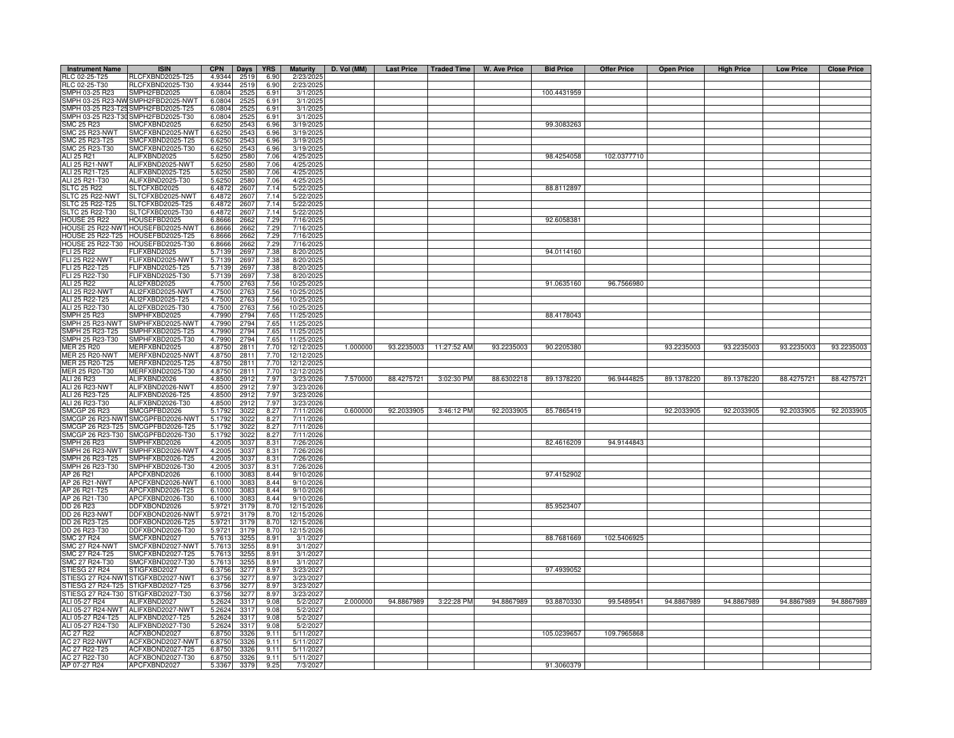| <b>Instrument Name</b>                     | <b>ISIN</b>                                         | <b>CPN</b>       | Days         | <b>YRS</b>    | <b>Maturity</b>          | D. Vol (MM) | <b>Last Price</b> | Traded Time | W. Ave Price | <b>Bid Price</b> | <b>Offer Price</b> | <b>Open Price</b> | <b>High Price</b> | <b>Low Price</b> | <b>Close Price</b> |
|--------------------------------------------|-----------------------------------------------------|------------------|--------------|---------------|--------------------------|-------------|-------------------|-------------|--------------|------------------|--------------------|-------------------|-------------------|------------------|--------------------|
| RLC 02-25-T25                              | RLCFXBND2025-T25                                    | 4.9344           | 2519         | 6.90          | 2/23/2025                |             |                   |             |              |                  |                    |                   |                   |                  |                    |
| RLC 02-25-T30                              | RLCFXBND2025-T30                                    | 4.9344           | 2519         | 6.90          | 2/23/2025                |             |                   |             |              |                  |                    |                   |                   |                  |                    |
| SMPH 03-25 R23                             | SMPH2FBD2025                                        | 6.0804           | 2525         | 6.91          | 3/1/2025                 |             |                   |             |              | 100.4431959      |                    |                   |                   |                  |                    |
|                                            | SMPH 03-25 R23-NW SMPH2FBD2025-NWT                  | 6.0804           | 252          | 6.91          | 3/1/2025                 |             |                   |             |              |                  |                    |                   |                   |                  |                    |
|                                            | MPH 03-25 R23-T25 SMPH2FBD2025-T25                  | 6.0804           | 252          | 6.91          | 3/1/2025<br>3/1/2025     |             |                   |             |              |                  |                    |                   |                   |                  |                    |
| <b>SMC 25 R23</b>                          | SMPH 03-25 R23-T30 SMPH2FBD2025-T30<br>SMCFXBND2025 | 6.0804<br>6.6250 | 252<br>2543  | 6.91<br>6.96  | 3/19/2025                |             |                   |             |              | 99.3083263       |                    |                   |                   |                  |                    |
| <b>SMC 25 R23-NWT</b>                      | SMCFXBND2025-NWT                                    | 6.6250           | 2543         | 6.96          | 3/19/2025                |             |                   |             |              |                  |                    |                   |                   |                  |                    |
|                                            | SMCFXBND2025-T25                                    | 6.6250           | 2543         | 6.96          | 3/19/2025                |             |                   |             |              |                  |                    |                   |                   |                  |                    |
| SMC 25 R23-T25<br>SMC 25 R23-T30           | SMCFXBND2025-T30                                    | 6.6250           | 254          | 6.96          | 3/19/2025                |             |                   |             |              |                  |                    |                   |                   |                  |                    |
| ALI 25 R21                                 | ALIFXBND2025                                        | 5.6250           | 2580         | 7.06          | 4/25/2025                |             |                   |             |              | 98.4254058       | 102.0377710        |                   |                   |                  |                    |
| <b>ALI 25 R21-NWT</b>                      | ALIFXBND2025-NWT                                    | 5.6250           | 2580         | 7.06          | 4/25/202                 |             |                   |             |              |                  |                    |                   |                   |                  |                    |
| ALI 25 R21-T25                             | ALIFXBND2025-T25                                    | 5.6250           | 2580         | 7.06          | 4/25/2025                |             |                   |             |              |                  |                    |                   |                   |                  |                    |
| ALI 25 R21-T30                             | ALIFXBND2025-T30                                    | 5.6250           | 2580         | 7.06          | 4/25/2025                |             |                   |             |              |                  |                    |                   |                   |                  |                    |
| <b>SLTC 25 R22</b>                         | SLTCFXBD2025                                        | 6.4872           | 2607         | 7.14<br>7.14  | 5/22/2025                |             |                   |             |              | 88.8112897       |                    |                   |                   |                  |                    |
| SLTC 25 R22-NWT<br>SLTC 25 R22-T25         | SLTCFXBD2025-NWT<br>SLTCFXBD2025-T25                | 6.4872<br>6.4872 | 260<br>2607  | 7.14          | 5/22/2025<br>5/22/2025   |             |                   |             |              |                  |                    |                   |                   |                  |                    |
| SLTC 25 R22-T30                            | SLTCFXBD2025-T30                                    | 6.487            | 260          | 7.14          | 5/22/2025                |             |                   |             |              |                  |                    |                   |                   |                  |                    |
| <b>HOUSE 25 R22</b>                        | HOUSEFBD2025                                        | 6.866            | 2662         | 7.29          | 7/16/2025                |             |                   |             |              | 92.6058381       |                    |                   |                   |                  |                    |
|                                            | IOUSE 25 R22-NWT HOUSEFBD2025-NW                    | 6.8666           | 2662         | 7.29          | 7/16/2025                |             |                   |             |              |                  |                    |                   |                   |                  |                    |
| <b>IOUSE 25 R22-T25</b>                    | HOUSEFBD2025-T25                                    | 6.8666           | 2662         | 7.29          | 7/16/2025                |             |                   |             |              |                  |                    |                   |                   |                  |                    |
| <b>IOUSE 25 R22-T30</b>                    | HOUSEFBD2025-T30                                    | 6.8666           | 2662         | 7.29          | 7/16/2025                |             |                   |             |              |                  |                    |                   |                   |                  |                    |
| FLI 25 R22                                 | FLIFXBND2025                                        | 5.7139           | 2697         | 7.38          | 8/20/2025                |             |                   |             |              | 94.0114160       |                    |                   |                   |                  |                    |
| <b>FLI 25 R22-NWT</b>                      | FLIFXBND2025-NWT                                    | 5.7139           | 2697         | 7.38          | 8/20/202                 |             |                   |             |              |                  |                    |                   |                   |                  |                    |
| FLI 25 R22-T25                             | FLIFXBND2025-T25                                    | 5.7139           | 2697         | 7.38          | 8/20/2025                |             |                   |             |              |                  |                    |                   |                   |                  |                    |
| FLI 25 R22-T30<br>ALI 25 R22               | FLIFXBND2025-T30<br>ALI2FXBD2025                    | 5.7139<br>4.7500 | 2697<br>2763 | 7.38<br>7.56  | 8/20/2025<br>10/25/2025  |             |                   |             |              | 91.0635160       | 96.7566980         |                   |                   |                  |                    |
| <b>ALI 25 R22-NWT</b>                      | ALI2FXBD2025-NWT                                    | 4.7500           | 2763         | 7.56          | 10/25/2025               |             |                   |             |              |                  |                    |                   |                   |                  |                    |
| ALI 25 R22-T25                             | ALI2FXBD2025-T25                                    | 4.7500           | 2763         | 7.56          | 10/25/2025               |             |                   |             |              |                  |                    |                   |                   |                  |                    |
| ALI 25 R22-T30                             | ALI2FXBD2025-T30                                    | 4.7500           | 2763         | 7.56          | 10/25/2025               |             |                   |             |              |                  |                    |                   |                   |                  |                    |
| <b>SMPH 25 R23</b>                         | SMPHFXBD2025                                        | 4.7990           | 2794         | 7.65          | 11/25/2025               |             |                   |             |              | 88.4178043       |                    |                   |                   |                  |                    |
| MPH 25 R23-NWT                             | SMPHFXBD2025-NWT                                    | 4.7990           | 2794         | 7.65          | 11/25/202                |             |                   |             |              |                  |                    |                   |                   |                  |                    |
| MPH 25 R23-T25                             | SMPHFXBD2025-T25                                    | 4.7990           | 2794         | 7.65          | 11/25/2025               |             |                   |             |              |                  |                    |                   |                   |                  |                    |
| MPH 25 R23-T30                             | SMPHFXBD2025-T30                                    | 4.7990           | 2794         | 7.65          | 11/25/2025               |             |                   |             |              |                  |                    |                   |                   |                  |                    |
| IER 25 R20<br><b>IER 25 R20-NWT</b>        | MERFXBND2025<br>MERFXBND2025-NW1                    | 4.8750<br>4.8750 | 2811<br>2811 | 7.70<br>7.70  | 12/12/2025<br>12/12/2025 | 1.000000    | 93.2235003        | 11:27:52 AM | 93.2235003   | 90.2205380       |                    | 93.2235003        | 93.2235003        | 93.2235003       | 93.2235003         |
| MER 25 R20-T25                             | MERFXBND2025-T25                                    | 4.875            | 2811         | 7.70          | 12/12/202                |             |                   |             |              |                  |                    |                   |                   |                  |                    |
| MER 25 R20-T30                             | MERFXBND2025-T30                                    | 4.8750           | 2811         | 7.70          | 12/12/2025               |             |                   |             |              |                  |                    |                   |                   |                  |                    |
| ALI 26 R23                                 | ALIFXBND2026                                        | 4.8500           | 2912         | 7.97          | 3/23/2026                | 7.570000    | 88.4275721        | 3:02:30 PM  | 88.6302218   | 89.1378220       | 96.9444825         | 89.1378220        | 89.1378220        | 88.4275721       | 88.4275721         |
| ALI 26 R23-NWT                             | ALIFXBND2026-NWT                                    | 4.8500           | 2912         | 7.97          | 3/23/2026                |             |                   |             |              |                  |                    |                   |                   |                  |                    |
| ALI 26 R23-T25                             | ALIFXBND2026-T25                                    | 4.8500           | 2912         | 7.97          | 3/23/2026                |             |                   |             |              |                  |                    |                   |                   |                  |                    |
| ALI 26 R23-T30                             | ALIFXBND2026-T30                                    | 4.8500           | 291          | 7.97          | 3/23/2026                |             |                   |             |              |                  |                    |                   |                   |                  |                    |
| MCGP 26 R23<br>MCGP 26 R23-NWT             | SMCGPFBD2026                                        | 5.1792<br>5.179  | 302          | 8.27<br>8.27  | 7/11/2026                | 0.600000    | 92.2033905        | 3:46:12 PM  | 92.2033905   | 85.7865419       |                    | 92.2033905        | 92.2033905        | 92.2033905       | 92.2033905         |
| MCGP 26 R23-T25                            | SMCGPFBD2026-NWT<br>SMCGPFBD2026-T25                | 5.1792           | 302<br>302   | 8.27          | 7/11/2026<br>7/11/2026   |             |                   |             |              |                  |                    |                   |                   |                  |                    |
| MCGP 26 R23-T30                            | SMCGPFBD2026-T30                                    | 5.1792           | 3022         | 8.27          | 7/11/2026                |             |                   |             |              |                  |                    |                   |                   |                  |                    |
| MPH 26 R23                                 | SMPHFXBD2026                                        | 4.2005           | 303          | 8.31          | 7/26/2026                |             |                   |             |              | 82.4616209       | 94.9144843         |                   |                   |                  |                    |
| MPH 26 R23-NWT                             | SMPHFXBD2026-NW1                                    | 4.2005           | 3037         | 8.31          | 7/26/2026                |             |                   |             |              |                  |                    |                   |                   |                  |                    |
| SMPH 26 R23-T25                            | SMPHFXBD2026-T25                                    | 4.2005           | 3037         | 8.31          | 7/26/2026                |             |                   |             |              |                  |                    |                   |                   |                  |                    |
| MPH 26 R23-T30                             | SMPHFXBD2026-T30                                    | 4.2005           | 3037         | 8.31          | 7/26/2026                |             |                   |             |              |                  |                    |                   |                   |                  |                    |
| AP 26 R21                                  | APCFXBND2026                                        | 6.1000           | 3083         | 8.44          | 9/10/2026                |             |                   |             |              | 97.4152902       |                    |                   |                   |                  |                    |
| AP 26 R21-NWT                              | APCFXBND2026-NWT                                    | 6.1000           | 3083         | 8.44          | 9/10/2026                |             |                   |             |              |                  |                    |                   |                   |                  |                    |
| AP 26 R21-T25                              | APCFXBND2026-T25                                    | 6.1000           | 3083         | 8.44          | 9/10/2026                |             |                   |             |              |                  |                    |                   |                   |                  |                    |
| AP 26 R21-T30<br>DD 26 R23                 | APCFXBND2026-T30<br>DDFXBOND2026                    | 6.1000<br>5.9721 | 308<br>3179  | 8.44<br>8.70  | 9/10/2026<br>12/15/2026  |             |                   |             |              | 85.9523407       |                    |                   |                   |                  |                    |
| DD 26 R23-NWT                              | DDFXBOND2026-NWT                                    | 5.9721           | 3179         | 8.70          | 12/15/2026               |             |                   |             |              |                  |                    |                   |                   |                  |                    |
|                                            | DDFXBOND2026-T25                                    | 5.9721           | 3179         | 8.70          | 12/15/2026               |             |                   |             |              |                  |                    |                   |                   |                  |                    |
| DD 26 R23-T25<br>DD 26 R23-T30             | DDFXBOND2026-T30                                    | 5.9721           | 3179         | 8.70          | 12/15/2026               |             |                   |             |              |                  |                    |                   |                   |                  |                    |
| SMC 27 R24<br>SMC 27 R24<br>SMC 27 R24-NWT | SMCFXBND2027                                        | 5.7613           | 325          | 8.91          | 3/1/2027                 |             |                   |             |              | 88.7681669       | 102.5406925        |                   |                   |                  |                    |
|                                            | SMCFXBND2027-NWT                                    | 5.7613           | 325          | 8.91          | 3/1/2027                 |             |                   |             |              |                  |                    |                   |                   |                  |                    |
|                                            | SMCFXBND2027-T25                                    | 5.7613           | 325          | 8.91          | 3/1/2027                 |             |                   |             |              |                  |                    |                   |                   |                  |                    |
| SMC 27 R24-T30                             | SMCFXBND2027-T30                                    | 5.7613           | 325          | 8.91          | 3/1/2027                 |             |                   |             |              |                  |                    |                   |                   |                  |                    |
| TIESG 27 R24<br><b>TIESG 27 R24-NWT</b>    | STIGFXBD2027<br>STIGFXBD2027-NWT                    | 6.3756<br>6.3756 | 3277<br>327  | 8.97<br>8.97  | 3/23/2027<br>3/23/2027   |             |                   |             |              | 97.4939052       |                    |                   |                   |                  |                    |
| STIESG 27 R24-T25 STIGFXBD2027-T25         |                                                     | 6.3756           | 3277         | 8.97          | 3/23/2027                |             |                   |             |              |                  |                    |                   |                   |                  |                    |
| STIESG 27 R24-T30 STIGFXBD2027-T30         |                                                     | 6.3756           | 3277         | 8.97          | 3/23/2027                |             |                   |             |              |                  |                    |                   |                   |                  |                    |
| ALI 05-27 R24                              | ALIFXBND2027                                        | 5.2624           | 3317         | 9.08          | 5/2/2027                 | 2.000000    | 94.8867989        | 3:22:28 PM  | 94.8867989   | 93.8870330       | 99.5489541         | 94.8867989        | 94.8867989        | 94.8867989       | 94.8867989         |
| ALI 05-27 R24-NWT                          | ALIFXBND2027-NWT                                    | 5.2624           | 331          | 9.08          | 5/2/2027                 |             |                   |             |              |                  |                    |                   |                   |                  |                    |
| ALI 05-27 R24-T25                          | ALIFXBND2027-T25                                    | 5.2624           | 3317         | 9.08          | 5/2/2027                 |             |                   |             |              |                  |                    |                   |                   |                  |                    |
| ALI 05-27 R24-T30                          | ALIFXBND2027-T30                                    | 5.2624           | 331          | 9.08          | 5/2/2027                 |             |                   |             |              |                  |                    |                   |                   |                  |                    |
| <b>AC 27 R22</b>                           | ACFXBOND2027                                        | 6.8750           | 3326         | 9.11          | 5/11/2027                |             |                   |             |              | 105.0239657      | 109.7965868        |                   |                   |                  |                    |
| <b>AC 27 R22-NWT</b><br>AC 27 R22-T25      | ACFXBOND2027-NWT<br>ACFXBOND2027-T25                | 6.8750<br>6.8750 | 3326<br>3326 | 9 1 1<br>9.11 | 5/11/2027<br>5/11/2027   |             |                   |             |              |                  |                    |                   |                   |                  |                    |
| AC 27 R22-T30                              | ACFXBOND2027-T30                                    | 6.8750           | 3326         | 9.11          | 5/11/2027                |             |                   |             |              |                  |                    |                   |                   |                  |                    |
| AP 07-27 R24                               | APCFXBND2027                                        | 5.3367           | 3379         | 9.25          | 7/3/2027                 |             |                   |             |              | 91.3060379       |                    |                   |                   |                  |                    |
|                                            |                                                     |                  |              |               |                          |             |                   |             |              |                  |                    |                   |                   |                  |                    |